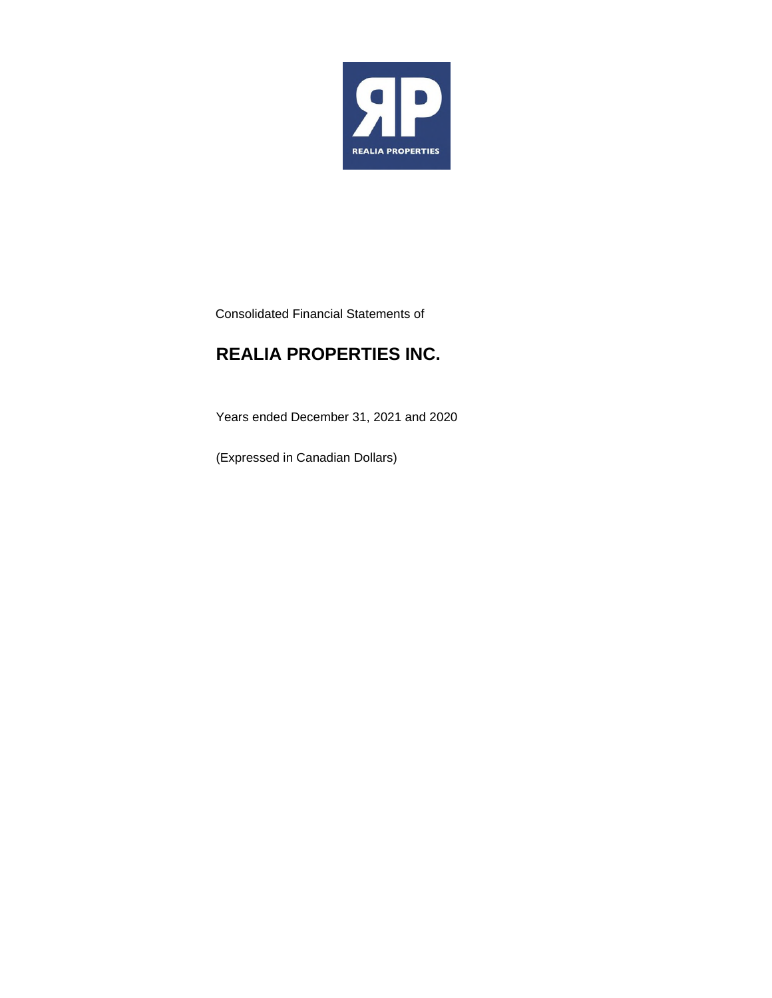

Consolidated Financial Statements of

### **REALIA PROPERTIES INC.**

Years ended December 31, 2021 and 2020

(Expressed in Canadian Dollars)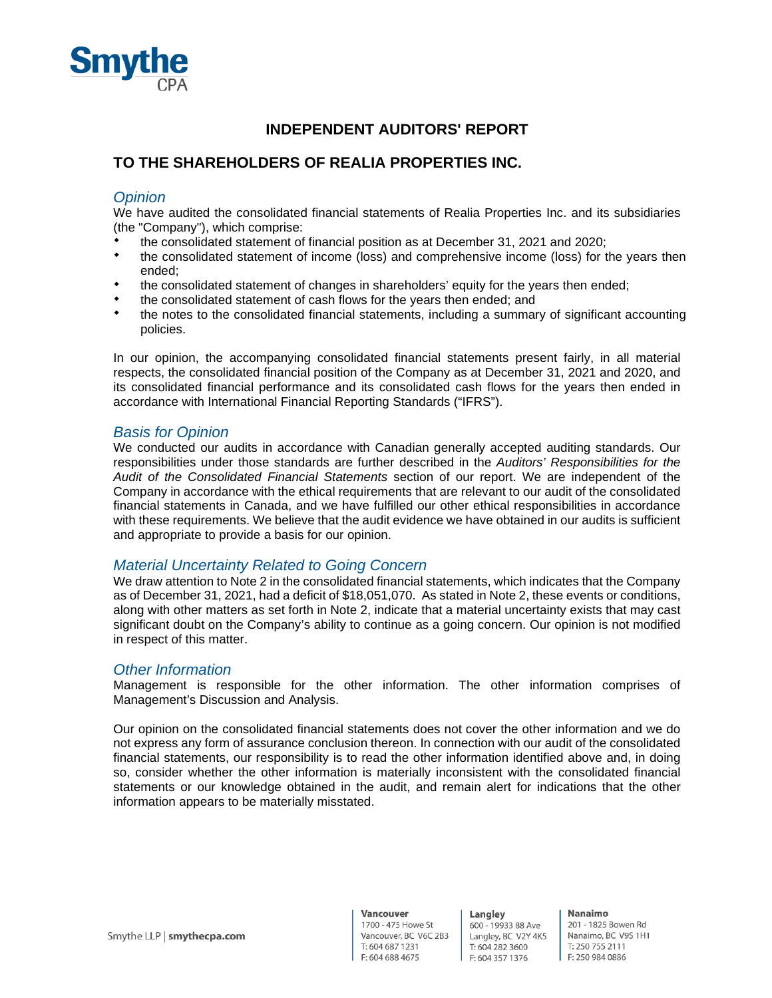

### **INDEPENDENT AUDITORS' REPORT**

### **TO THE SHAREHOLDERS OF REALIA PROPERTIES INC.**

#### *Opinion*

We have audited the consolidated financial statements of Realia Properties Inc. and its subsidiaries (the "Company"), which comprise:

- the consolidated statement of financial position as at December 31, 2021 and 2020;<br>the consolidated statement of income (less) and comprehensive income (less) for t
- the consolidated statement of income (loss) and comprehensive income (loss) for the years then ended;
- the consolidated statement of changes in shareholders' equity for the years then ended;
- the consolidated statement of cash flows for the years then ended; and
- the notes to the consolidated financial statements, including a summary of significant accounting policies.

In our opinion, the accompanying consolidated financial statements present fairly, in all material respects, the consolidated financial position of the Company as at December 31, 2021 and 2020, and its consolidated financial performance and its consolidated cash flows for the years then ended in accordance with International Financial Reporting Standards ("IFRS").

#### *Basis for Opinion*

We conducted our audits in accordance with Canadian generally accepted auditing standards. Our responsibilities under those standards are further described in the *Auditors' Responsibilities for the Audit of the Consolidated Financial Statements* section of our report. We are independent of the Company in accordance with the ethical requirements that are relevant to our audit of the consolidated financial statements in Canada, and we have fulfilled our other ethical responsibilities in accordance with these requirements. We believe that the audit evidence we have obtained in our audits is sufficient and appropriate to provide a basis for our opinion.

#### *Material Uncertainty Related to Going Concern*

We draw attention to Note 2 in the consolidated financial statements, which indicates that the Company as of December 31, 2021, had a deficit of \$18,051,070. As stated in Note 2, these events or conditions, along with other matters as set forth in Note 2, indicate that a material uncertainty exists that may cast significant doubt on the Company's ability to continue as a going concern. Our opinion is not modified in respect of this matter.

#### *Other Information*

Management is responsible for the other information. The other information comprises of Management's Discussion and Analysis.

Our opinion on the consolidated financial statements does not cover the other information and we do not express any form of assurance conclusion thereon. In connection with our audit of the consolidated financial statements, our responsibility is to read the other information identified above and, in doing so, consider whether the other information is materially inconsistent with the consolidated financial statements or our knowledge obtained in the audit, and remain alert for indications that the other information appears to be materially misstated.

Langley 600 - 19933 88 Ave Langley, BC V2Y 4K5 T: 604 282 3600 F: 604 357 1376

Nanaimo 201 - 1825 Bowen Rd Nanaimo, BC V9S 1H1 T: 250 755 2111 F: 250 984 0886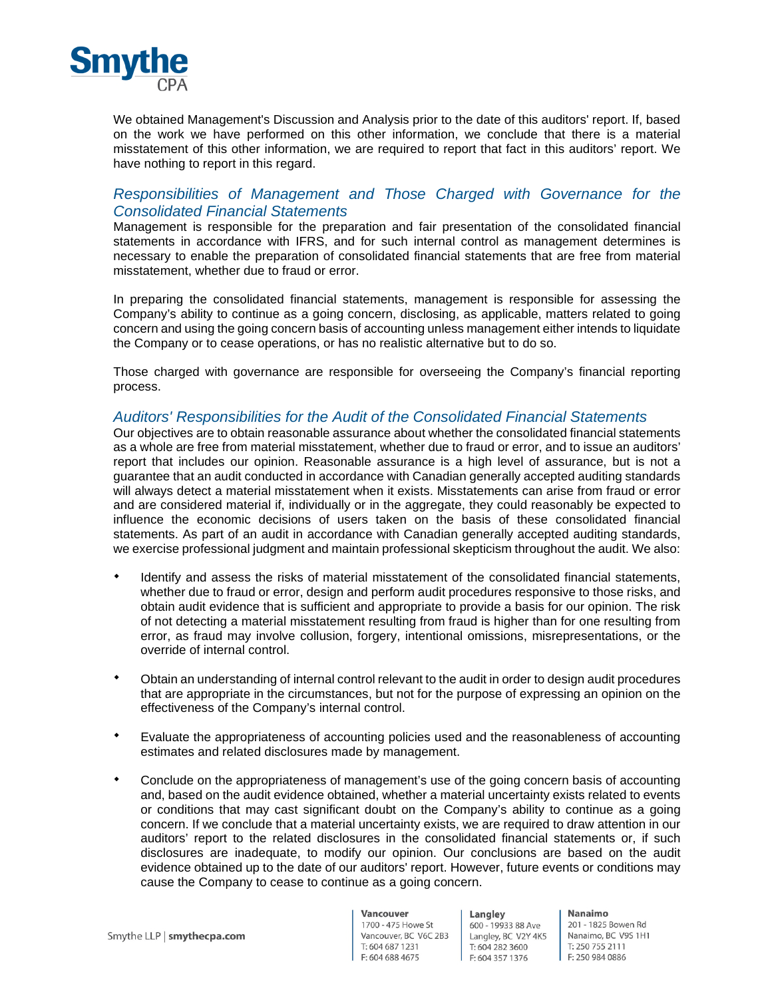

We obtained Management's Discussion and Analysis prior to the date of this auditors' report. If, based on the work we have performed on this other information, we conclude that there is a material misstatement of this other information, we are required to report that fact in this auditors' report. We have nothing to report in this regard.

#### *Responsibilities of Management and Those Charged with Governance for the Consolidated Financial Statements*

Management is responsible for the preparation and fair presentation of the consolidated financial statements in accordance with IFRS, and for such internal control as management determines is necessary to enable the preparation of consolidated financial statements that are free from material misstatement, whether due to fraud or error.

In preparing the consolidated financial statements, management is responsible for assessing the Company's ability to continue as a going concern, disclosing, as applicable, matters related to going concern and using the going concern basis of accounting unless management either intends to liquidate the Company or to cease operations, or has no realistic alternative but to do so.

Those charged with governance are responsible for overseeing the Company's financial reporting process.

#### *Auditors' Responsibilities for the Audit of the Consolidated Financial Statements*

Our objectives are to obtain reasonable assurance about whether the consolidated financial statements as a whole are free from material misstatement, whether due to fraud or error, and to issue an auditors' report that includes our opinion. Reasonable assurance is a high level of assurance, but is not a guarantee that an audit conducted in accordance with Canadian generally accepted auditing standards will always detect a material misstatement when it exists. Misstatements can arise from fraud or error and are considered material if, individually or in the aggregate, they could reasonably be expected to influence the economic decisions of users taken on the basis of these consolidated financial statements. As part of an audit in accordance with Canadian generally accepted auditing standards, we exercise professional judgment and maintain professional skepticism throughout the audit. We also:

- Identify and assess the risks of material misstatement of the consolidated financial statements, whether due to fraud or error, design and perform audit procedures responsive to those risks, and obtain audit evidence that is sufficient and appropriate to provide a basis for our opinion. The risk of not detecting a material misstatement resulting from fraud is higher than for one resulting from error, as fraud may involve collusion, forgery, intentional omissions, misrepresentations, or the override of internal control.
- Obtain an understanding of internal control relevant to the audit in order to design audit procedures that are appropriate in the circumstances, but not for the purpose of expressing an opinion on the effectiveness of the Company's internal control.
- Evaluate the appropriateness of accounting policies used and the reasonableness of accounting estimates and related disclosures made by management.
- Conclude on the appropriateness of management's use of the going concern basis of accounting and, based on the audit evidence obtained, whether a material uncertainty exists related to events or conditions that may cast significant doubt on the Company's ability to continue as a going concern. If we conclude that a material uncertainty exists, we are required to draw attention in our auditors' report to the related disclosures in the consolidated financial statements or, if such disclosures are inadequate, to modify our opinion. Our conclusions are based on the audit evidence obtained up to the date of our auditors' report. However, future events or conditions may cause the Company to cease to continue as a going concern.

Langley 600 - 19933 88 Ave Langley, BC V2Y 4K5 T: 604 282 3600 F: 604 357 1376

Nanaimo 201 - 1825 Bowen Rd Nanaimo, BC V9S 1H1 T: 250 755 2111 F: 250 984 0886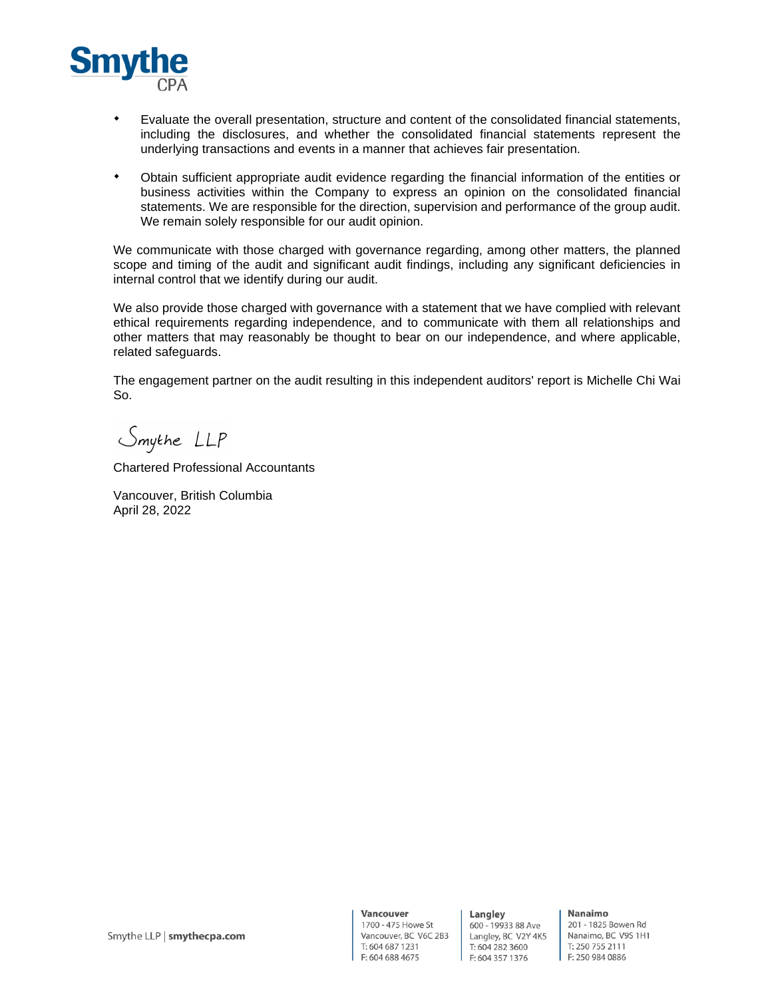

- Evaluate the overall presentation, structure and content of the consolidated financial statements, including the disclosures, and whether the consolidated financial statements represent the underlying transactions and events in a manner that achieves fair presentation.
- Obtain sufficient appropriate audit evidence regarding the financial information of the entities or business activities within the Company to express an opinion on the consolidated financial statements. We are responsible for the direction, supervision and performance of the group audit. We remain solely responsible for our audit opinion.

We communicate with those charged with governance regarding, among other matters, the planned scope and timing of the audit and significant audit findings, including any significant deficiencies in internal control that we identify during our audit.

We also provide those charged with governance with a statement that we have complied with relevant ethical requirements regarding independence, and to communicate with them all relationships and other matters that may reasonably be thought to bear on our independence, and where applicable, related safeguards.

The engagement partner on the audit resulting in this independent auditors' report is Michelle Chi Wai So.

Smythe LLP

Chartered Professional Accountants

Vancouver, British Columbia April 28, 2022

Vancouver 1700 - 475 Howe St Vancouver, BC V6C 2B3 T: 604 687 1231 F: 604 688 4675

Langley 600 - 19933 88 Ave Langley, BC V2Y 4K5 T: 604 282 3600 F: 604 357 1376

Nanaimo 201 - 1825 Bowen Rd Nanaimo, BC V9S 1H1 T: 250 755 2111 F: 250 984 0886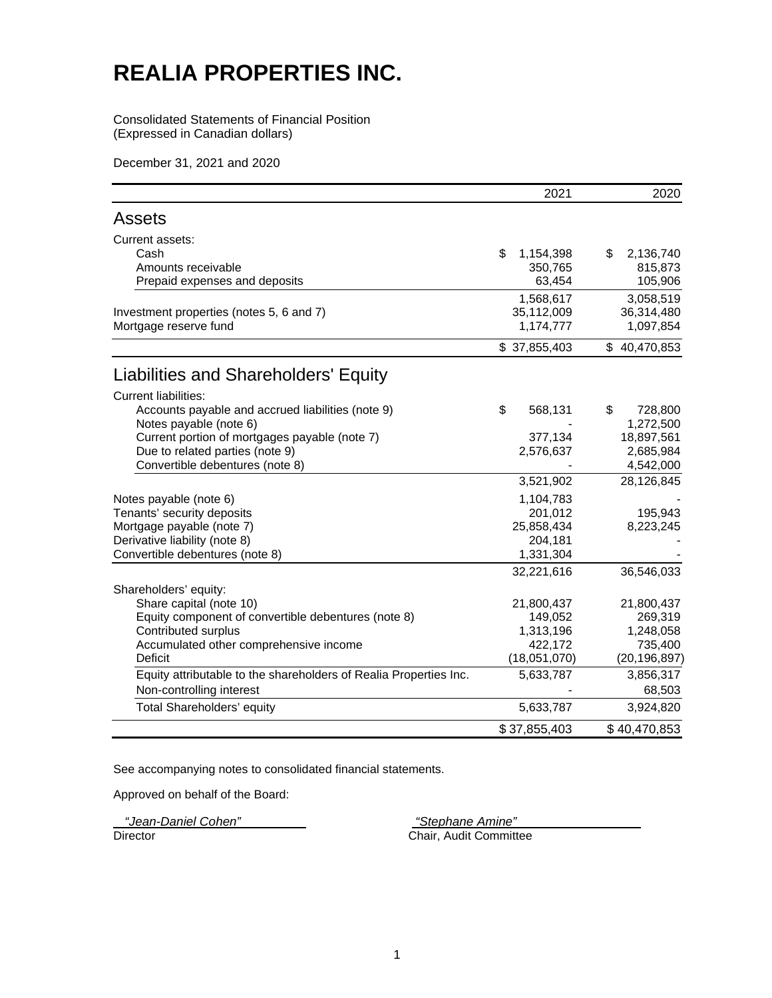Consolidated Statements of Financial Position (Expressed in Canadian dollars)

December 31, 2021 and 2020

|                                                                   | 2021            | 2020            |
|-------------------------------------------------------------------|-----------------|-----------------|
| <b>Assets</b>                                                     |                 |                 |
| Current assets:                                                   |                 |                 |
| Cash                                                              | \$<br>1,154,398 | \$<br>2,136,740 |
| Amounts receivable                                                | 350,765         | 815,873         |
| Prepaid expenses and deposits                                     | 63,454          | 105,906         |
|                                                                   | 1,568,617       | 3,058,519       |
| Investment properties (notes 5, 6 and 7)                          | 35,112,009      | 36,314,480      |
| Mortgage reserve fund                                             | 1,174,777       | 1,097,854       |
|                                                                   | \$37,855,403    | \$40,470,853    |
| Liabilities and Shareholders' Equity                              |                 |                 |
| <b>Current liabilities:</b>                                       |                 |                 |
| Accounts payable and accrued liabilities (note 9)                 | \$<br>568,131   | \$<br>728,800   |
| Notes payable (note 6)                                            |                 | 1,272,500       |
| Current portion of mortgages payable (note 7)                     | 377,134         | 18,897,561      |
| Due to related parties (note 9)                                   | 2,576,637       | 2,685,984       |
| Convertible debentures (note 8)                                   |                 | 4,542,000       |
|                                                                   | 3,521,902       | 28,126,845      |
| Notes payable (note 6)                                            | 1,104,783       |                 |
| Tenants' security deposits                                        | 201,012         | 195,943         |
| Mortgage payable (note 7)                                         | 25,858,434      | 8,223,245       |
| Derivative liability (note 8)                                     | 204,181         |                 |
| Convertible debentures (note 8)                                   | 1,331,304       |                 |
|                                                                   | 32,221,616      | 36,546,033      |
| Shareholders' equity:                                             |                 |                 |
| Share capital (note 10)                                           | 21,800,437      | 21,800,437      |
| Equity component of convertible debentures (note 8)               | 149,052         | 269,319         |
| Contributed surplus                                               | 1,313,196       | 1,248,058       |
| Accumulated other comprehensive income                            | 422,172         | 735,400         |
| Deficit                                                           | (18,051,070)    | (20, 196, 897)  |
| Equity attributable to the shareholders of Realia Properties Inc. | 5,633,787       | 3,856,317       |
| Non-controlling interest                                          |                 | 68,503          |
| Total Shareholders' equity                                        | 5,633,787       | 3,924,820       |
|                                                                   | \$37,855,403    | \$40,470,853    |

See accompanying notes to consolidated financial statements.

Approved on behalf of the Board:

 *"Jean-Daniel Cohen" "Stephane Amine"*

Chair, Audit Committee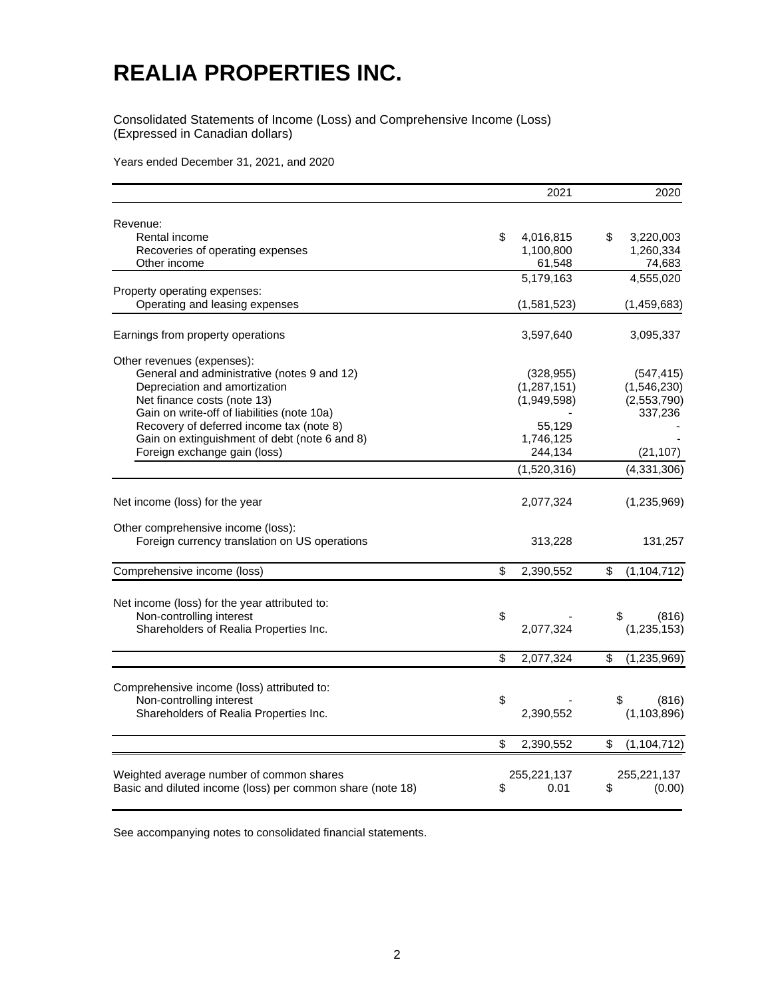Consolidated Statements of Income (Loss) and Comprehensive Income (Loss) (Expressed in Canadian dollars)

Years ended December 31, 2021, and 2020

|                                                            | 2021            | 2020                |
|------------------------------------------------------------|-----------------|---------------------|
|                                                            |                 |                     |
| Revenue:                                                   |                 |                     |
| Rental income                                              | \$<br>4,016,815 | \$<br>3,220,003     |
| Recoveries of operating expenses                           | 1,100,800       | 1,260,334           |
| Other income                                               | 61,548          | 74,683              |
|                                                            | 5,179,163       | 4,555,020           |
| Property operating expenses:                               |                 |                     |
| Operating and leasing expenses                             | (1,581,523)     | (1,459,683)         |
| Earnings from property operations                          | 3,597,640       | 3,095,337           |
| Other revenues (expenses):                                 |                 |                     |
| General and administrative (notes 9 and 12)                | (328, 955)      | (547, 415)          |
| Depreciation and amortization                              | (1, 287, 151)   | (1,546,230)         |
| Net finance costs (note 13)                                | (1,949,598)     | (2,553,790)         |
| Gain on write-off of liabilities (note 10a)                |                 | 337,236             |
| Recovery of deferred income tax (note 8)                   | 55,129          |                     |
| Gain on extinguishment of debt (note 6 and 8)              | 1,746,125       |                     |
| Foreign exchange gain (loss)                               | 244,134         |                     |
|                                                            |                 | (21, 107)           |
|                                                            | (1,520,316)     | (4, 331, 306)       |
| Net income (loss) for the year                             | 2,077,324       | (1,235,969)         |
|                                                            |                 |                     |
| Other comprehensive income (loss):                         |                 |                     |
| Foreign currency translation on US operations              | 313,228         | 131,257             |
| Comprehensive income (loss)                                | \$<br>2,390,552 | \$<br>(1, 104, 712) |
|                                                            |                 |                     |
| Net income (loss) for the year attributed to:              |                 |                     |
| Non-controlling interest                                   | \$              | (816)<br>\$         |
| Shareholders of Realia Properties Inc.                     | 2,077,324       | (1, 235, 153)       |
|                                                            | \$              | \$                  |
|                                                            | 2,077,324       | (1, 235, 969)       |
| Comprehensive income (loss) attributed to:                 |                 |                     |
| Non-controlling interest                                   | \$              | \$<br>(816)         |
| Shareholders of Realia Properties Inc.                     | 2,390,552       | (1, 103, 896)       |
|                                                            |                 |                     |
|                                                            | \$<br>2,390,552 | \$<br>(1, 104, 712) |
|                                                            |                 |                     |
| Weighted average number of common shares                   | 255,221,137     | 255,221,137         |
| Basic and diluted income (loss) per common share (note 18) | \$<br>0.01      | \$<br>(0.00)        |

See accompanying notes to consolidated financial statements.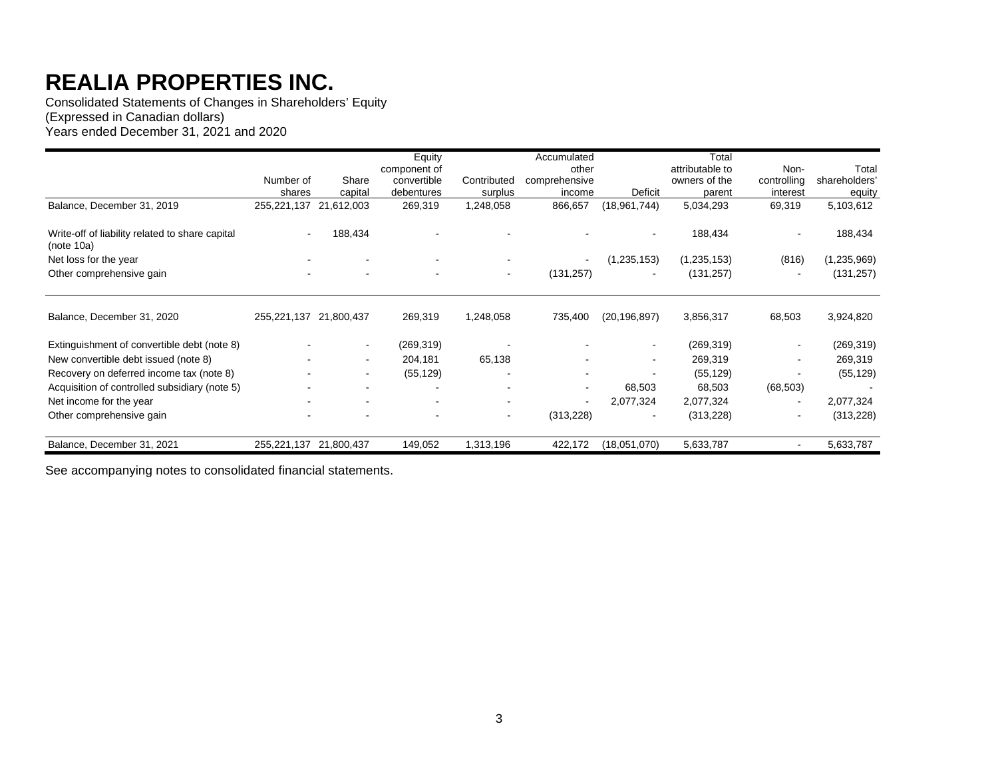Consolidated Statements of Changes in Shareholders' Equity (Expressed in Canadian dollars) Years ended December 31, 2021 and 2020

|                                                               |             |                          | Equity       |                | Accumulated   |                | Total           |             |               |
|---------------------------------------------------------------|-------------|--------------------------|--------------|----------------|---------------|----------------|-----------------|-------------|---------------|
|                                                               |             |                          | component of |                | other         |                | attributable to | Non-        | Total         |
|                                                               | Number of   | Share                    | convertible  | Contributed    | comprehensive |                | owners of the   | controlling | shareholders' |
|                                                               | shares      | capital                  | debentures   | surplus        | income        | Deficit        | parent          | interest    | equity        |
| Balance, December 31, 2019                                    | 255,221,137 | 21,612,003               | 269,319      | 1,248,058      | 866,657       | (18, 961, 744) | 5,034,293       | 69,319      | 5,103,612     |
| Write-off of liability related to share capital<br>(note 10a) |             | 188,434                  |              |                |               |                | 188,434         |             | 188,434       |
| Net loss for the year                                         |             |                          |              | $\sim$         |               | (1, 235, 153)  | (1, 235, 153)   | (816)       | (1,235,969)   |
| Other comprehensive gain                                      |             |                          |              | $\sim$         | (131, 257)    | $\sim$         | (131, 257)      |             | (131, 257)    |
| Balance, December 31, 2020                                    | 255,221,137 | 21,800,437               | 269,319      | 1,248,058      | 735,400       | (20, 196, 897) | 3,856,317       | 68,503      | 3,924,820     |
| Extinguishment of convertible debt (note 8)                   |             | $\blacksquare$           | (269, 319)   |                |               | $\blacksquare$ | (269, 319)      |             | (269, 319)    |
| New convertible debt issued (note 8)                          |             | $\overline{\phantom{a}}$ | 204,181      | 65,138         |               | $\blacksquare$ | 269,319         |             | 269,319       |
| Recovery on deferred income tax (note 8)                      |             | $\,$                     | (55, 129)    |                |               |                | (55, 129)       |             | (55, 129)     |
| Acquisition of controlled subsidiary (note 5)                 |             | $\,$                     |              | $\blacksquare$ | $\sim$        | 68,503         | 68,503          | (68, 503)   |               |
| Net income for the year                                       |             |                          |              |                | $\sim$        | 2,077,324      | 2,077,324       |             | 2,077,324     |
| Other comprehensive gain                                      |             |                          |              | $\blacksquare$ | (313, 228)    |                | (313, 228)      |             | (313, 228)    |
| Balance, December 31, 2021                                    | 255,221,137 | 21,800,437               | 149,052      | 1,313,196      | 422,172       | (18,051,070)   | 5,633,787       |             | 5,633,787     |

See accompanying notes to consolidated financial statements.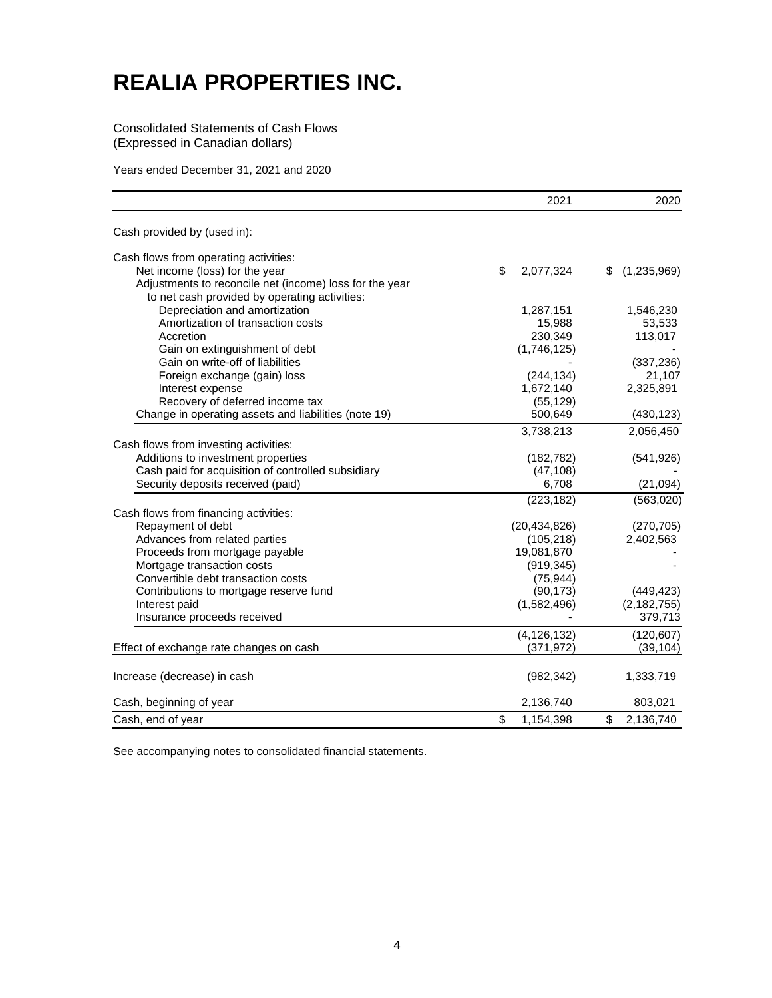Consolidated Statements of Cash Flows (Expressed in Canadian dollars)

Years ended December 31, 2021 and 2020

|                                                         | 2021            | 2020              |
|---------------------------------------------------------|-----------------|-------------------|
| Cash provided by (used in):                             |                 |                   |
| Cash flows from operating activities:                   |                 |                   |
| Net income (loss) for the year                          | \$<br>2,077,324 | (1,235,969)<br>\$ |
| Adjustments to reconcile net (income) loss for the year |                 |                   |
| to net cash provided by operating activities:           |                 |                   |
| Depreciation and amortization                           | 1,287,151       | 1,546,230         |
| Amortization of transaction costs                       | 15,988          | 53,533            |
| Accretion                                               | 230,349         | 113,017           |
| Gain on extinguishment of debt                          | (1,746,125)     |                   |
| Gain on write-off of liabilities                        |                 | (337, 236)        |
| Foreign exchange (gain) loss                            | (244, 134)      | 21,107            |
| Interest expense                                        | 1,672,140       | 2,325,891         |
| Recovery of deferred income tax                         | (55, 129)       |                   |
| Change in operating assets and liabilities (note 19)    | 500,649         | (430, 123)        |
|                                                         | 3,738,213       | 2,056,450         |
| Cash flows from investing activities:                   |                 |                   |
| Additions to investment properties                      | (182, 782)      | (541, 926)        |
| Cash paid for acquisition of controlled subsidiary      | (47, 108)       |                   |
| Security deposits received (paid)                       | 6,708           | (21, 094)         |
|                                                         | (223, 182)      | (563,020)         |
| Cash flows from financing activities:                   |                 |                   |
| Repayment of debt                                       | (20, 434, 826)  | (270, 705)        |
| Advances from related parties                           | (105, 218)      | 2,402,563         |
| Proceeds from mortgage payable                          | 19,081,870      |                   |
| Mortgage transaction costs                              | (919, 345)      |                   |
| Convertible debt transaction costs                      | (75, 944)       |                   |
| Contributions to mortgage reserve fund                  | (90, 173)       | (449, 423)        |
| Interest paid                                           | (1,582,496)     | (2, 182, 755)     |
| Insurance proceeds received                             |                 | 379,713           |
|                                                         | (4, 126, 132)   | (120, 607)        |
| Effect of exchange rate changes on cash                 | (371, 972)      | (39, 104)         |
| Increase (decrease) in cash                             | (982, 342)      | 1,333,719         |
| Cash, beginning of year                                 | 2,136,740       | 803,021           |
| Cash, end of year                                       | \$<br>1,154,398 | 2,136,740<br>\$   |

See accompanying notes to consolidated financial statements.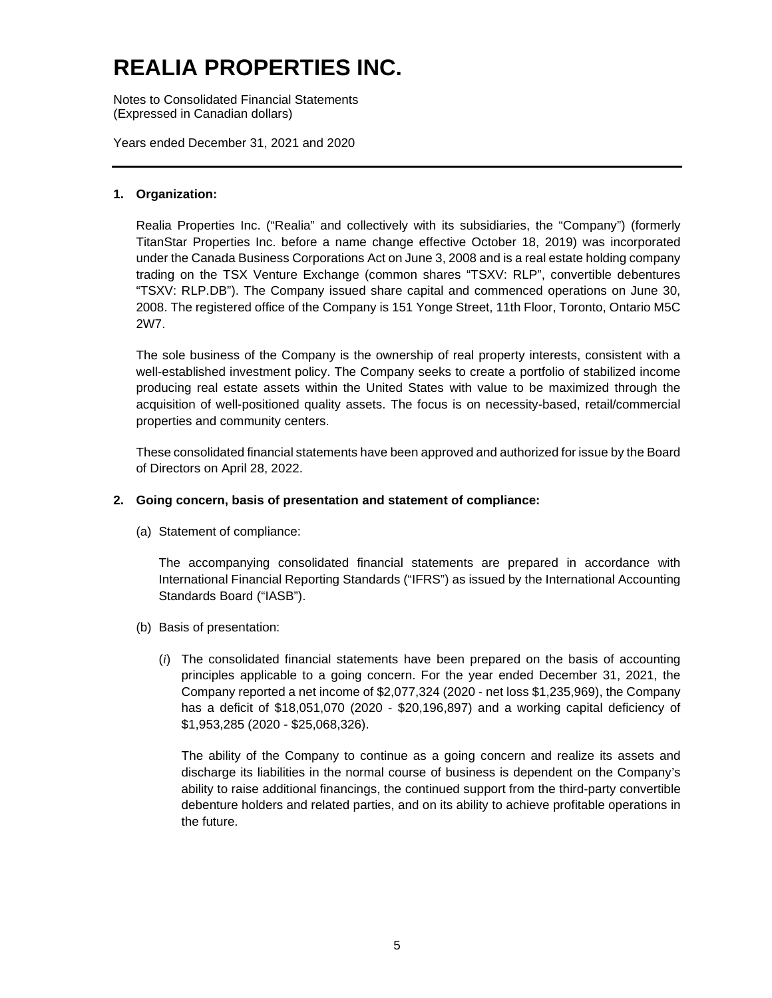Notes to Consolidated Financial Statements (Expressed in Canadian dollars)

Years ended December 31, 2021 and 2020

#### **1. Organization:**

Realia Properties Inc. ("Realia" and collectively with its subsidiaries, the "Company") (formerly TitanStar Properties Inc. before a name change effective October 18, 2019) was incorporated under the Canada Business Corporations Act on June 3, 2008 and is a real estate holding company trading on the TSX Venture Exchange (common shares "TSXV: RLP", convertible debentures "TSXV: RLP.DB"). The Company issued share capital and commenced operations on June 30, 2008. The registered office of the Company is 151 Yonge Street, 11th Floor, Toronto, Ontario M5C 2W7.

The sole business of the Company is the ownership of real property interests, consistent with a well-established investment policy. The Company seeks to create a portfolio of stabilized income producing real estate assets within the United States with value to be maximized through the acquisition of well-positioned quality assets. The focus is on necessity-based, retail/commercial properties and community centers.

These consolidated financial statements have been approved and authorized for issue by the Board of Directors on April 28, 2022.

#### **2. Going concern, basis of presentation and statement of compliance:**

(a) Statement of compliance:

The accompanying consolidated financial statements are prepared in accordance with International Financial Reporting Standards ("IFRS") as issued by the International Accounting Standards Board ("IASB").

- (b) Basis of presentation:
	- (*i*) The consolidated financial statements have been prepared on the basis of accounting principles applicable to a going concern. For the year ended December 31, 2021, the Company reported a net income of \$2,077,324 (2020 - net loss \$1,235,969), the Company has a deficit of \$18,051,070 (2020 - \$20,196,897) and a working capital deficiency of \$1,953,285 (2020 - \$25,068,326).

The ability of the Company to continue as a going concern and realize its assets and discharge its liabilities in the normal course of business is dependent on the Company's ability to raise additional financings, the continued support from the third-party convertible debenture holders and related parties, and on its ability to achieve profitable operations in the future.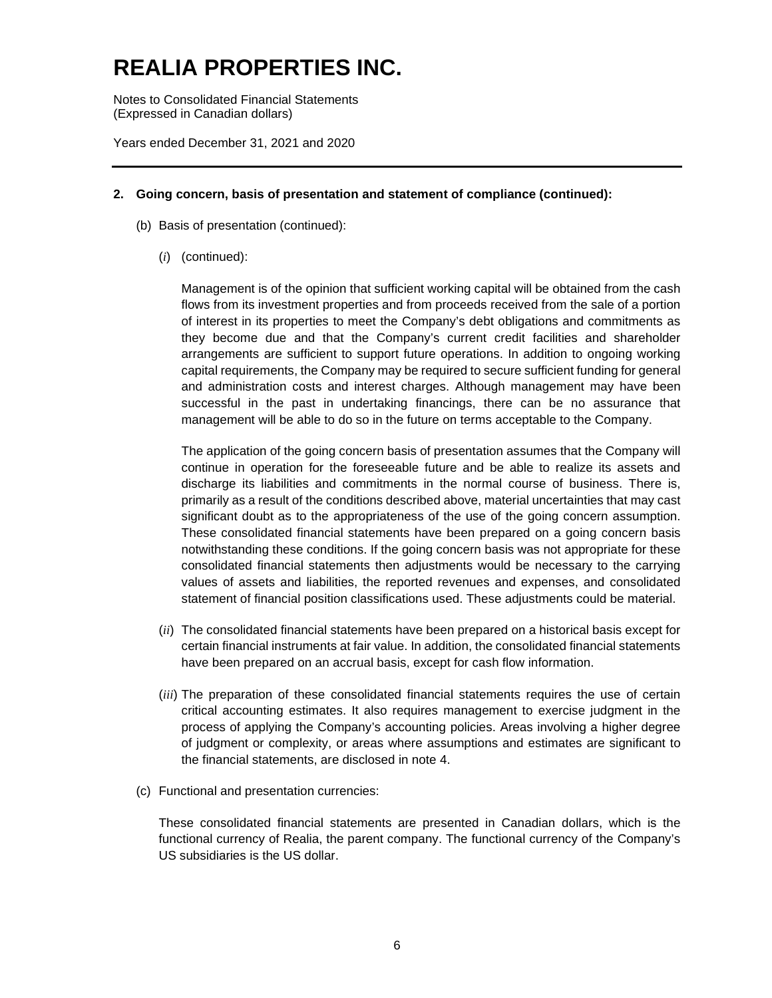Notes to Consolidated Financial Statements (Expressed in Canadian dollars)

Years ended December 31, 2021 and 2020

#### **2. Going concern, basis of presentation and statement of compliance (continued):**

- (b) Basis of presentation (continued):
	- (*i*) (continued):

Management is of the opinion that sufficient working capital will be obtained from the cash flows from its investment properties and from proceeds received from the sale of a portion of interest in its properties to meet the Company's debt obligations and commitments as they become due and that the Company's current credit facilities and shareholder arrangements are sufficient to support future operations. In addition to ongoing working capital requirements, the Company may be required to secure sufficient funding for general and administration costs and interest charges. Although management may have been successful in the past in undertaking financings, there can be no assurance that management will be able to do so in the future on terms acceptable to the Company.

The application of the going concern basis of presentation assumes that the Company will continue in operation for the foreseeable future and be able to realize its assets and discharge its liabilities and commitments in the normal course of business. There is, primarily as a result of the conditions described above, material uncertainties that may cast significant doubt as to the appropriateness of the use of the going concern assumption. These consolidated financial statements have been prepared on a going concern basis notwithstanding these conditions. If the going concern basis was not appropriate for these consolidated financial statements then adjustments would be necessary to the carrying values of assets and liabilities, the reported revenues and expenses, and consolidated statement of financial position classifications used. These adjustments could be material.

- (*ii*) The consolidated financial statements have been prepared on a historical basis except for certain financial instruments at fair value. In addition, the consolidated financial statements have been prepared on an accrual basis, except for cash flow information.
- (*iii*) The preparation of these consolidated financial statements requires the use of certain critical accounting estimates. It also requires management to exercise judgment in the process of applying the Company's accounting policies. Areas involving a higher degree of judgment or complexity, or areas where assumptions and estimates are significant to the financial statements, are disclosed in note 4.
- (c) Functional and presentation currencies:

These consolidated financial statements are presented in Canadian dollars, which is the functional currency of Realia, the parent company. The functional currency of the Company's US subsidiaries is the US dollar.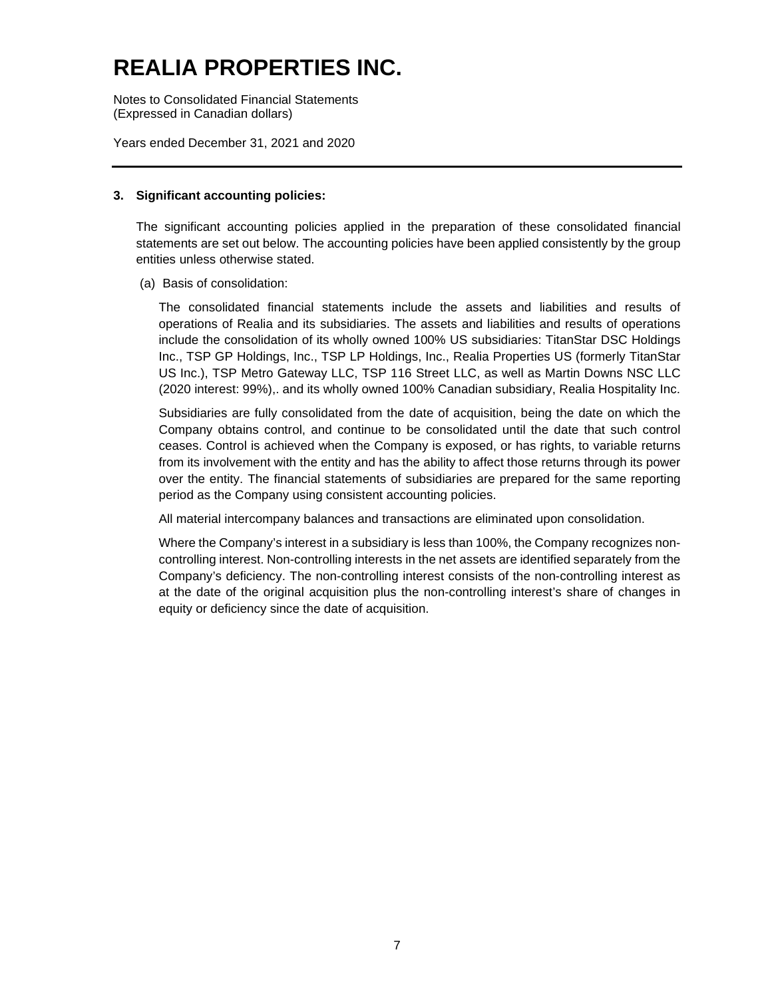Notes to Consolidated Financial Statements (Expressed in Canadian dollars)

Years ended December 31, 2021 and 2020

#### **3. Significant accounting policies:**

The significant accounting policies applied in the preparation of these consolidated financial statements are set out below. The accounting policies have been applied consistently by the group entities unless otherwise stated.

(a) Basis of consolidation:

The consolidated financial statements include the assets and liabilities and results of operations of Realia and its subsidiaries. The assets and liabilities and results of operations include the consolidation of its wholly owned 100% US subsidiaries: TitanStar DSC Holdings Inc., TSP GP Holdings, Inc., TSP LP Holdings, Inc., Realia Properties US (formerly TitanStar US Inc.), TSP Metro Gateway LLC, TSP 116 Street LLC, as well as Martin Downs NSC LLC (2020 interest: 99%),. and its wholly owned 100% Canadian subsidiary, Realia Hospitality Inc.

Subsidiaries are fully consolidated from the date of acquisition, being the date on which the Company obtains control, and continue to be consolidated until the date that such control ceases. Control is achieved when the Company is exposed, or has rights, to variable returns from its involvement with the entity and has the ability to affect those returns through its power over the entity. The financial statements of subsidiaries are prepared for the same reporting period as the Company using consistent accounting policies.

All material intercompany balances and transactions are eliminated upon consolidation.

Where the Company's interest in a subsidiary is less than 100%, the Company recognizes noncontrolling interest. Non-controlling interests in the net assets are identified separately from the Company's deficiency. The non-controlling interest consists of the non-controlling interest as at the date of the original acquisition plus the non-controlling interest's share of changes in equity or deficiency since the date of acquisition.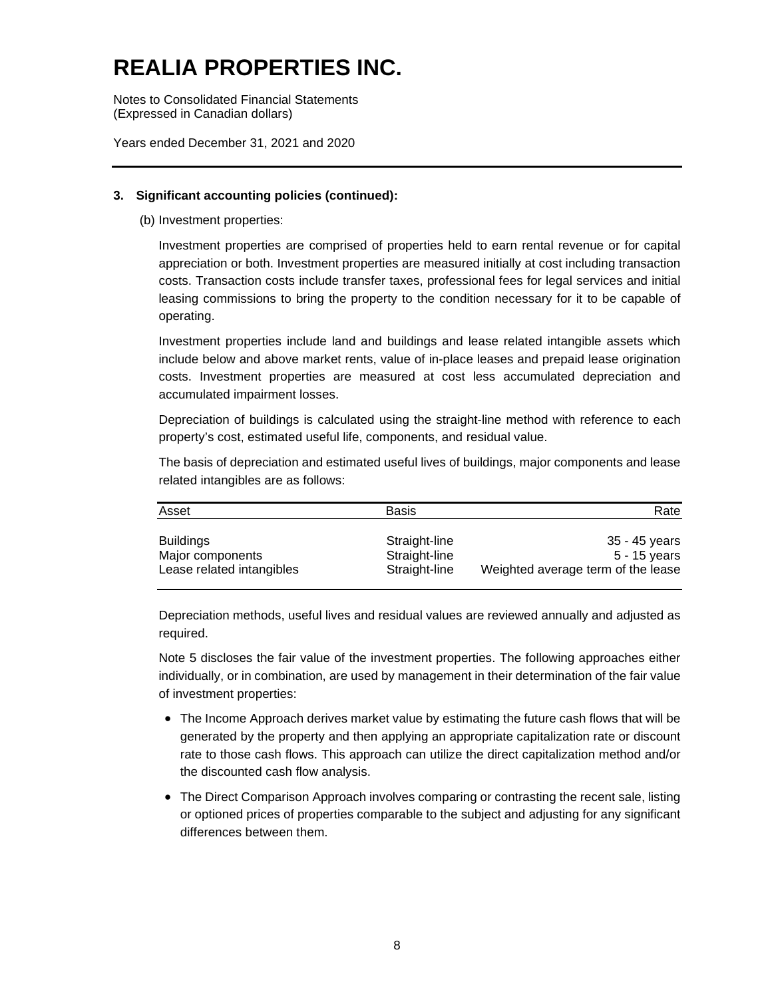Notes to Consolidated Financial Statements (Expressed in Canadian dollars)

Years ended December 31, 2021 and 2020

#### **3. Significant accounting policies (continued):**

(b) Investment properties:

Investment properties are comprised of properties held to earn rental revenue or for capital appreciation or both. Investment properties are measured initially at cost including transaction costs. Transaction costs include transfer taxes, professional fees for legal services and initial leasing commissions to bring the property to the condition necessary for it to be capable of operating.

Investment properties include land and buildings and lease related intangible assets which include below and above market rents, value of in-place leases and prepaid lease origination costs. Investment properties are measured at cost less accumulated depreciation and accumulated impairment losses.

Depreciation of buildings is calculated using the straight-line method with reference to each property's cost, estimated useful life, components, and residual value.

The basis of depreciation and estimated useful lives of buildings, major components and lease related intangibles are as follows:

| Asset                     | <b>Basis</b>  | Rate                               |
|---------------------------|---------------|------------------------------------|
| <b>Buildings</b>          | Straight-line | 35 - 45 years                      |
| Major components          | Straight-line | 5 - 15 years                       |
| Lease related intangibles | Straight-line | Weighted average term of the lease |

Depreciation methods, useful lives and residual values are reviewed annually and adjusted as required.

Note 5 discloses the fair value of the investment properties. The following approaches either individually, or in combination, are used by management in their determination of the fair value of investment properties:

- The Income Approach derives market value by estimating the future cash flows that will be generated by the property and then applying an appropriate capitalization rate or discount rate to those cash flows. This approach can utilize the direct capitalization method and/or the discounted cash flow analysis.
- The Direct Comparison Approach involves comparing or contrasting the recent sale, listing or optioned prices of properties comparable to the subject and adjusting for any significant differences between them.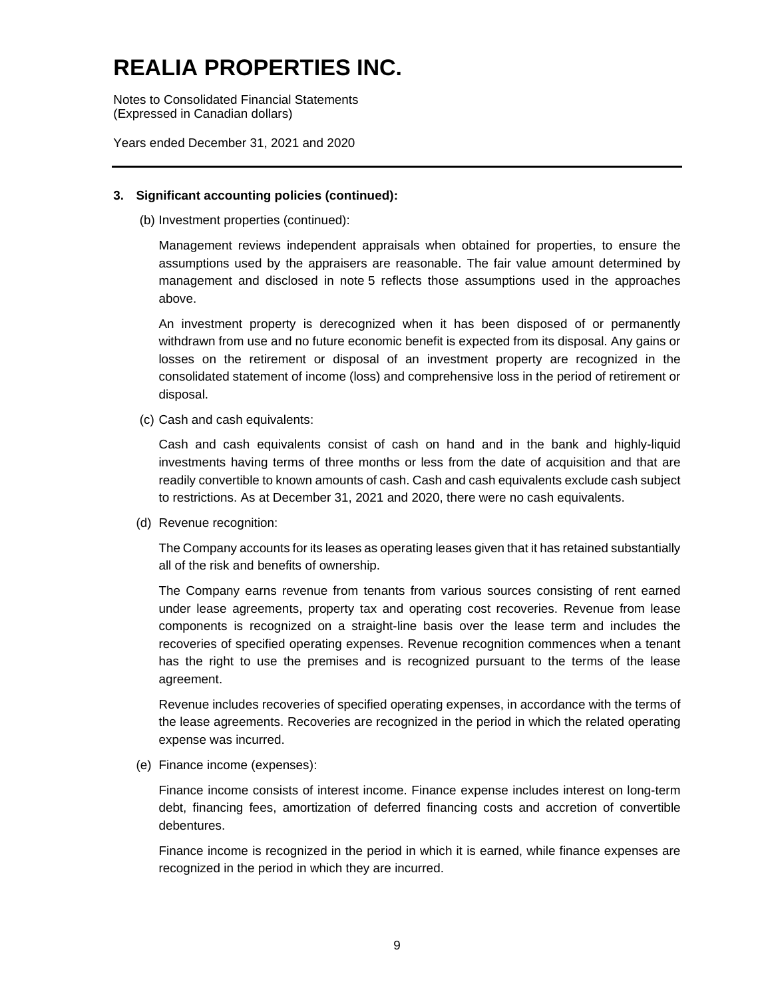Notes to Consolidated Financial Statements (Expressed in Canadian dollars)

Years ended December 31, 2021 and 2020

#### **3. Significant accounting policies (continued):**

(b) Investment properties (continued):

Management reviews independent appraisals when obtained for properties, to ensure the assumptions used by the appraisers are reasonable. The fair value amount determined by management and disclosed in note 5 reflects those assumptions used in the approaches above.

An investment property is derecognized when it has been disposed of or permanently withdrawn from use and no future economic benefit is expected from its disposal. Any gains or losses on the retirement or disposal of an investment property are recognized in the consolidated statement of income (loss) and comprehensive loss in the period of retirement or disposal.

(c) Cash and cash equivalents:

Cash and cash equivalents consist of cash on hand and in the bank and highly-liquid investments having terms of three months or less from the date of acquisition and that are readily convertible to known amounts of cash. Cash and cash equivalents exclude cash subject to restrictions. As at December 31, 2021 and 2020, there were no cash equivalents.

(d) Revenue recognition:

The Company accounts for its leases as operating leases given that it has retained substantially all of the risk and benefits of ownership.

The Company earns revenue from tenants from various sources consisting of rent earned under lease agreements, property tax and operating cost recoveries. Revenue from lease components is recognized on a straight-line basis over the lease term and includes the recoveries of specified operating expenses. Revenue recognition commences when a tenant has the right to use the premises and is recognized pursuant to the terms of the lease agreement.

Revenue includes recoveries of specified operating expenses, in accordance with the terms of the lease agreements. Recoveries are recognized in the period in which the related operating expense was incurred.

(e) Finance income (expenses):

Finance income consists of interest income. Finance expense includes interest on long-term debt, financing fees, amortization of deferred financing costs and accretion of convertible debentures.

Finance income is recognized in the period in which it is earned, while finance expenses are recognized in the period in which they are incurred.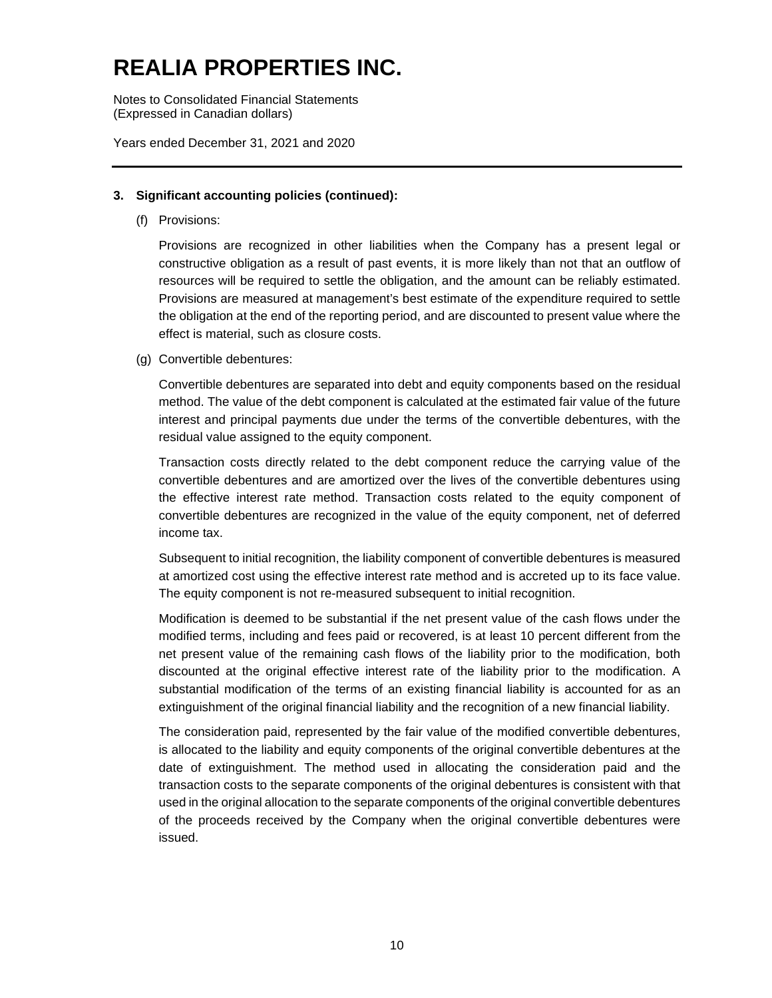Notes to Consolidated Financial Statements (Expressed in Canadian dollars)

Years ended December 31, 2021 and 2020

#### **3. Significant accounting policies (continued):**

(f) Provisions:

Provisions are recognized in other liabilities when the Company has a present legal or constructive obligation as a result of past events, it is more likely than not that an outflow of resources will be required to settle the obligation, and the amount can be reliably estimated. Provisions are measured at management's best estimate of the expenditure required to settle the obligation at the end of the reporting period, and are discounted to present value where the effect is material, such as closure costs.

(g) Convertible debentures:

Convertible debentures are separated into debt and equity components based on the residual method. The value of the debt component is calculated at the estimated fair value of the future interest and principal payments due under the terms of the convertible debentures, with the residual value assigned to the equity component.

Transaction costs directly related to the debt component reduce the carrying value of the convertible debentures and are amortized over the lives of the convertible debentures using the effective interest rate method. Transaction costs related to the equity component of convertible debentures are recognized in the value of the equity component, net of deferred income tax.

Subsequent to initial recognition, the liability component of convertible debentures is measured at amortized cost using the effective interest rate method and is accreted up to its face value. The equity component is not re-measured subsequent to initial recognition.

Modification is deemed to be substantial if the net present value of the cash flows under the modified terms, including and fees paid or recovered, is at least 10 percent different from the net present value of the remaining cash flows of the liability prior to the modification, both discounted at the original effective interest rate of the liability prior to the modification. A substantial modification of the terms of an existing financial liability is accounted for as an extinguishment of the original financial liability and the recognition of a new financial liability.

The consideration paid, represented by the fair value of the modified convertible debentures, is allocated to the liability and equity components of the original convertible debentures at the date of extinguishment. The method used in allocating the consideration paid and the transaction costs to the separate components of the original debentures is consistent with that used in the original allocation to the separate components of the original convertible debentures of the proceeds received by the Company when the original convertible debentures were issued.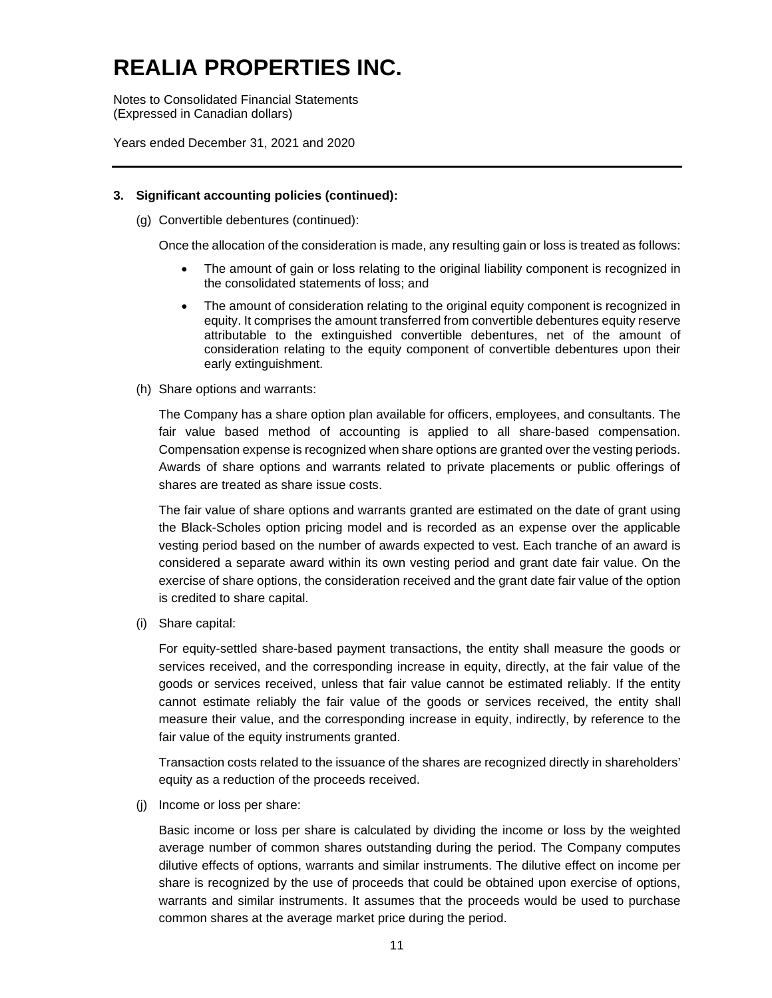Notes to Consolidated Financial Statements (Expressed in Canadian dollars)

Years ended December 31, 2021 and 2020

#### **3. Significant accounting policies (continued):**

(g) Convertible debentures (continued):

Once the allocation of the consideration is made, any resulting gain or loss is treated as follows:

- The amount of gain or loss relating to the original liability component is recognized in the consolidated statements of loss; and
- The amount of consideration relating to the original equity component is recognized in equity. It comprises the amount transferred from convertible debentures equity reserve attributable to the extinguished convertible debentures, net of the amount of consideration relating to the equity component of convertible debentures upon their early extinguishment.
- (h) Share options and warrants:

The Company has a share option plan available for officers, employees, and consultants. The fair value based method of accounting is applied to all share-based compensation. Compensation expense is recognized when share options are granted over the vesting periods. Awards of share options and warrants related to private placements or public offerings of shares are treated as share issue costs.

The fair value of share options and warrants granted are estimated on the date of grant using the Black-Scholes option pricing model and is recorded as an expense over the applicable vesting period based on the number of awards expected to vest. Each tranche of an award is considered a separate award within its own vesting period and grant date fair value. On the exercise of share options, the consideration received and the grant date fair value of the option is credited to share capital.

(i) Share capital:

For equity-settled share-based payment transactions, the entity shall measure the goods or services received, and the corresponding increase in equity, directly, at the fair value of the goods or services received, unless that fair value cannot be estimated reliably. If the entity cannot estimate reliably the fair value of the goods or services received, the entity shall measure their value, and the corresponding increase in equity, indirectly, by reference to the fair value of the equity instruments granted.

Transaction costs related to the issuance of the shares are recognized directly in shareholders' equity as a reduction of the proceeds received.

(j) Income or loss per share:

Basic income or loss per share is calculated by dividing the income or loss by the weighted average number of common shares outstanding during the period. The Company computes dilutive effects of options, warrants and similar instruments. The dilutive effect on income per share is recognized by the use of proceeds that could be obtained upon exercise of options, warrants and similar instruments. It assumes that the proceeds would be used to purchase common shares at the average market price during the period.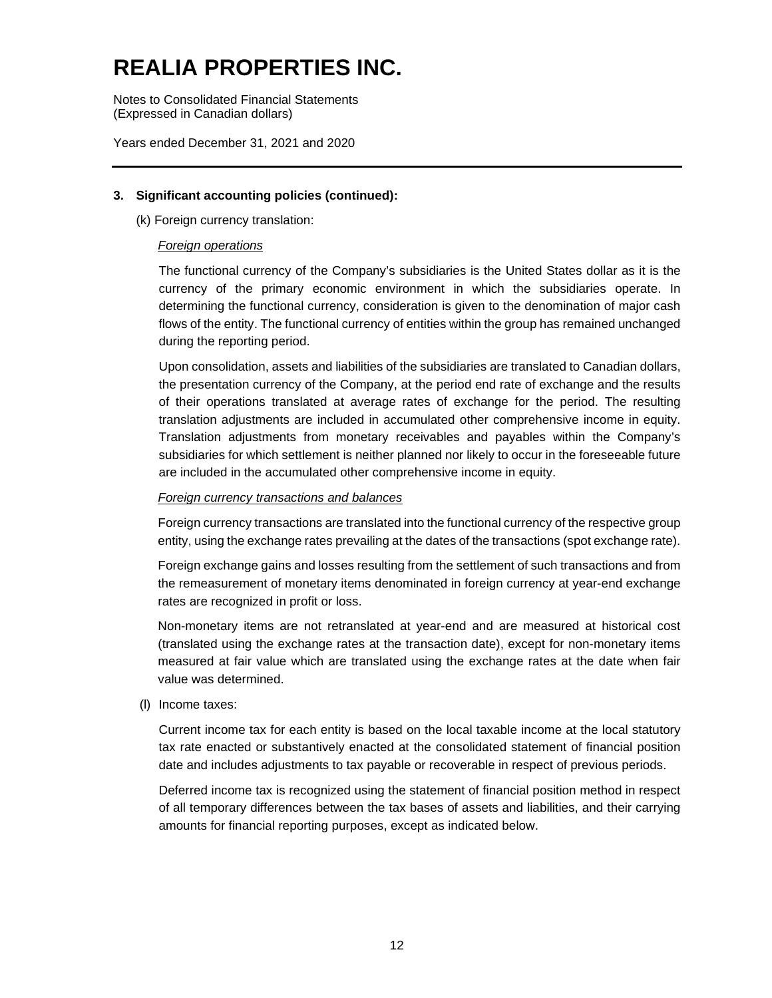Notes to Consolidated Financial Statements (Expressed in Canadian dollars)

Years ended December 31, 2021 and 2020

#### **3. Significant accounting policies (continued):**

(k) Foreign currency translation:

#### *Foreign operations*

The functional currency of the Company's subsidiaries is the United States dollar as it is the currency of the primary economic environment in which the subsidiaries operate. In determining the functional currency, consideration is given to the denomination of major cash flows of the entity. The functional currency of entities within the group has remained unchanged during the reporting period.

Upon consolidation, assets and liabilities of the subsidiaries are translated to Canadian dollars, the presentation currency of the Company, at the period end rate of exchange and the results of their operations translated at average rates of exchange for the period. The resulting translation adjustments are included in accumulated other comprehensive income in equity. Translation adjustments from monetary receivables and payables within the Company's subsidiaries for which settlement is neither planned nor likely to occur in the foreseeable future are included in the accumulated other comprehensive income in equity.

#### *Foreign currency transactions and balances*

Foreign currency transactions are translated into the functional currency of the respective group entity, using the exchange rates prevailing at the dates of the transactions (spot exchange rate).

Foreign exchange gains and losses resulting from the settlement of such transactions and from the remeasurement of monetary items denominated in foreign currency at year-end exchange rates are recognized in profit or loss.

Non-monetary items are not retranslated at year-end and are measured at historical cost (translated using the exchange rates at the transaction date), except for non-monetary items measured at fair value which are translated using the exchange rates at the date when fair value was determined.

(l) Income taxes:

Current income tax for each entity is based on the local taxable income at the local statutory tax rate enacted or substantively enacted at the consolidated statement of financial position date and includes adjustments to tax payable or recoverable in respect of previous periods.

Deferred income tax is recognized using the statement of financial position method in respect of all temporary differences between the tax bases of assets and liabilities, and their carrying amounts for financial reporting purposes, except as indicated below.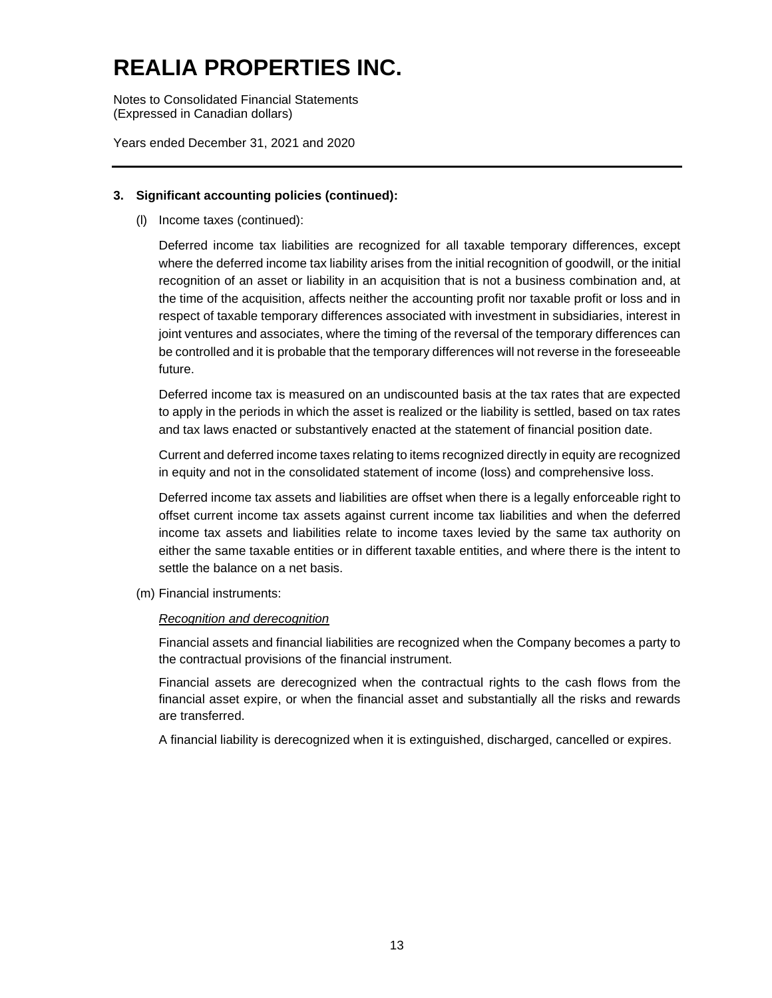Notes to Consolidated Financial Statements (Expressed in Canadian dollars)

Years ended December 31, 2021 and 2020

#### **3. Significant accounting policies (continued):**

(l) Income taxes (continued):

Deferred income tax liabilities are recognized for all taxable temporary differences, except where the deferred income tax liability arises from the initial recognition of goodwill, or the initial recognition of an asset or liability in an acquisition that is not a business combination and, at the time of the acquisition, affects neither the accounting profit nor taxable profit or loss and in respect of taxable temporary differences associated with investment in subsidiaries, interest in joint ventures and associates, where the timing of the reversal of the temporary differences can be controlled and it is probable that the temporary differences will not reverse in the foreseeable future.

Deferred income tax is measured on an undiscounted basis at the tax rates that are expected to apply in the periods in which the asset is realized or the liability is settled, based on tax rates and tax laws enacted or substantively enacted at the statement of financial position date.

Current and deferred income taxes relating to items recognized directly in equity are recognized in equity and not in the consolidated statement of income (loss) and comprehensive loss.

Deferred income tax assets and liabilities are offset when there is a legally enforceable right to offset current income tax assets against current income tax liabilities and when the deferred income tax assets and liabilities relate to income taxes levied by the same tax authority on either the same taxable entities or in different taxable entities, and where there is the intent to settle the balance on a net basis.

(m) Financial instruments:

#### *Recognition and derecognition*

Financial assets and financial liabilities are recognized when the Company becomes a party to the contractual provisions of the financial instrument.

Financial assets are derecognized when the contractual rights to the cash flows from the financial asset expire, or when the financial asset and substantially all the risks and rewards are transferred.

A financial liability is derecognized when it is extinguished, discharged, cancelled or expires.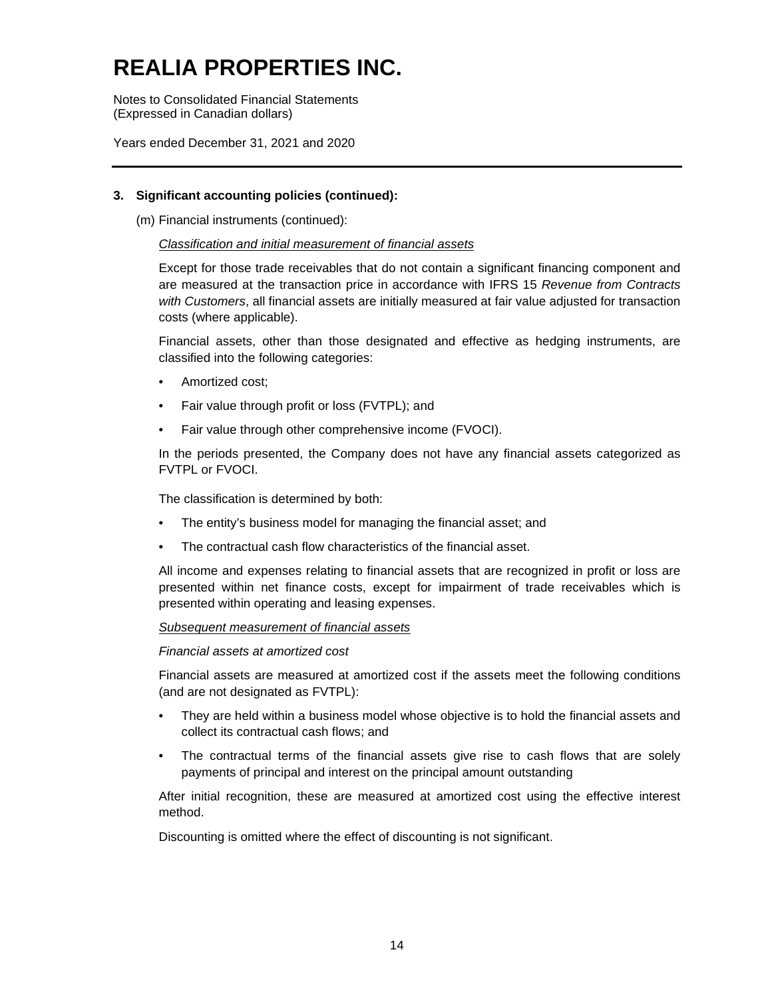Notes to Consolidated Financial Statements (Expressed in Canadian dollars)

Years ended December 31, 2021 and 2020

#### **3. Significant accounting policies (continued):**

(m) Financial instruments (continued):

#### *Classification and initial measurement of financial assets*

Except for those trade receivables that do not contain a significant financing component and are measured at the transaction price in accordance with IFRS 15 *Revenue from Contracts with Customers*, all financial assets are initially measured at fair value adjusted for transaction costs (where applicable).

Financial assets, other than those designated and effective as hedging instruments, are classified into the following categories:

- Amortized cost;
- Fair value through profit or loss (FVTPL); and
- Fair value through other comprehensive income (FVOCI).

In the periods presented, the Company does not have any financial assets categorized as FVTPL or FVOCI.

The classification is determined by both:

- The entity's business model for managing the financial asset; and
- The contractual cash flow characteristics of the financial asset.

All income and expenses relating to financial assets that are recognized in profit or loss are presented within net finance costs, except for impairment of trade receivables which is presented within operating and leasing expenses.

#### *Subsequent measurement of financial assets*

#### *Financial assets at amortized cost*

Financial assets are measured at amortized cost if the assets meet the following conditions (and are not designated as FVTPL):

- They are held within a business model whose objective is to hold the financial assets and collect its contractual cash flows; and
- The contractual terms of the financial assets give rise to cash flows that are solely payments of principal and interest on the principal amount outstanding

After initial recognition, these are measured at amortized cost using the effective interest method.

Discounting is omitted where the effect of discounting is not significant.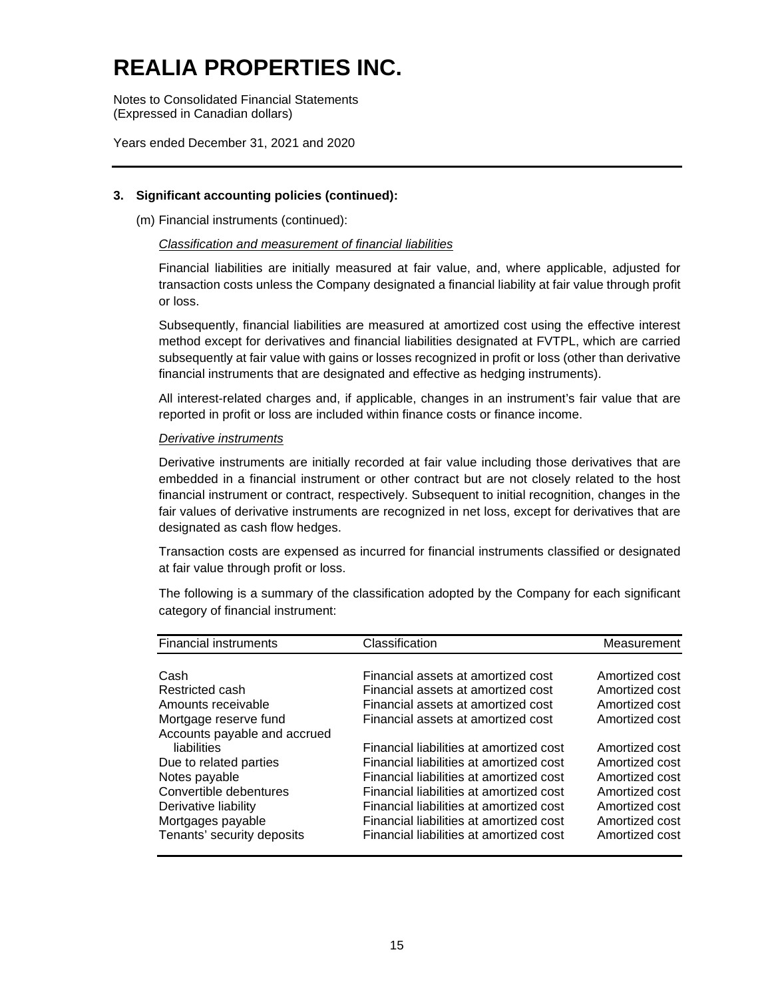Notes to Consolidated Financial Statements (Expressed in Canadian dollars)

Years ended December 31, 2021 and 2020

#### **3. Significant accounting policies (continued):**

(m) Financial instruments (continued):

#### *Classification and measurement of financial liabilities*

Financial liabilities are initially measured at fair value, and, where applicable, adjusted for transaction costs unless the Company designated a financial liability at fair value through profit or loss.

Subsequently, financial liabilities are measured at amortized cost using the effective interest method except for derivatives and financial liabilities designated at FVTPL, which are carried subsequently at fair value with gains or losses recognized in profit or loss (other than derivative financial instruments that are designated and effective as hedging instruments).

All interest-related charges and, if applicable, changes in an instrument's fair value that are reported in profit or loss are included within finance costs or finance income.

#### *Derivative instruments*

Derivative instruments are initially recorded at fair value including those derivatives that are embedded in a financial instrument or other contract but are not closely related to the host financial instrument or contract, respectively. Subsequent to initial recognition, changes in the fair values of derivative instruments are recognized in net loss, except for derivatives that are designated as cash flow hedges.

Transaction costs are expensed as incurred for financial instruments classified or designated at fair value through profit or loss.

The following is a summary of the classification adopted by the Company for each significant category of financial instrument:

| <b>Financial instruments</b> | Classification                          | Measurement    |
|------------------------------|-----------------------------------------|----------------|
|                              |                                         |                |
| Cash                         | Financial assets at amortized cost      | Amortized cost |
| Restricted cash              | Financial assets at amortized cost      | Amortized cost |
| Amounts receivable           | Financial assets at amortized cost      | Amortized cost |
| Mortgage reserve fund        | Financial assets at amortized cost      | Amortized cost |
| Accounts payable and accrued |                                         |                |
| liabilities                  | Financial liabilities at amortized cost | Amortized cost |
| Due to related parties       | Financial liabilities at amortized cost | Amortized cost |
| Notes payable                | Financial liabilities at amortized cost | Amortized cost |
| Convertible debentures       | Financial liabilities at amortized cost | Amortized cost |
| Derivative liability         | Financial liabilities at amortized cost | Amortized cost |
| Mortgages payable            | Financial liabilities at amortized cost | Amortized cost |
| Tenants' security deposits   | Financial liabilities at amortized cost | Amortized cost |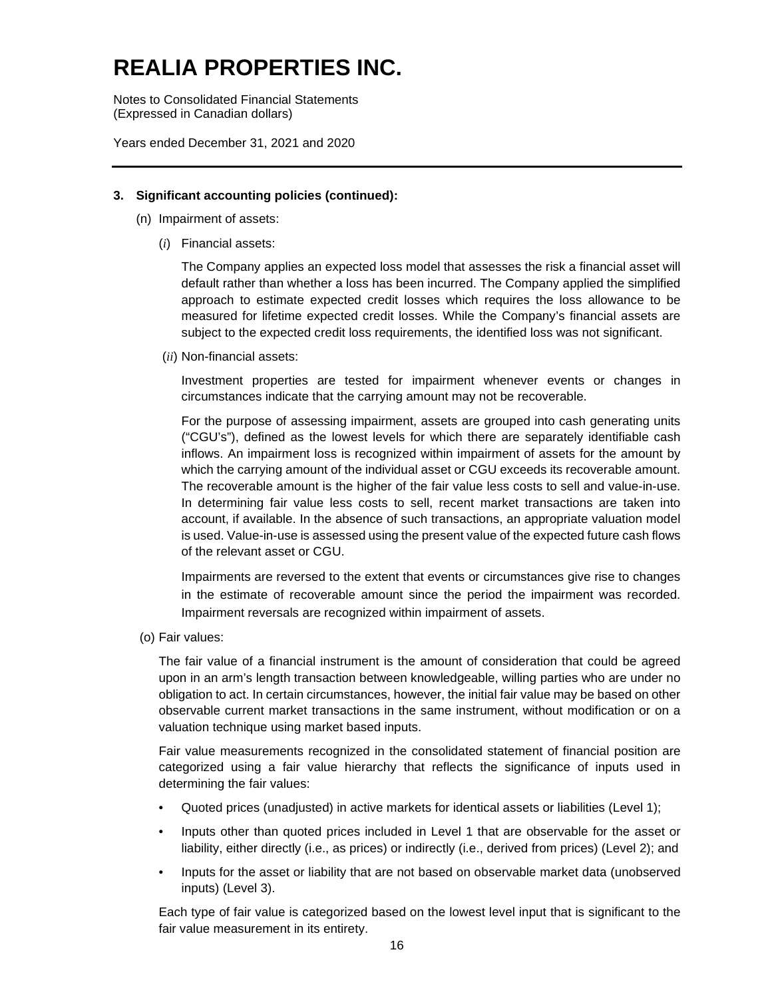Notes to Consolidated Financial Statements (Expressed in Canadian dollars)

Years ended December 31, 2021 and 2020

#### **3. Significant accounting policies (continued):**

- (n) Impairment of assets:
	- (*i*) Financial assets:

The Company applies an expected loss model that assesses the risk a financial asset will default rather than whether a loss has been incurred. The Company applied the simplified approach to estimate expected credit losses which requires the loss allowance to be measured for lifetime expected credit losses. While the Company's financial assets are subject to the expected credit loss requirements, the identified loss was not significant.

(*ii*) Non-financial assets:

Investment properties are tested for impairment whenever events or changes in circumstances indicate that the carrying amount may not be recoverable.

For the purpose of assessing impairment, assets are grouped into cash generating units ("CGU's"), defined as the lowest levels for which there are separately identifiable cash inflows. An impairment loss is recognized within impairment of assets for the amount by which the carrying amount of the individual asset or CGU exceeds its recoverable amount. The recoverable amount is the higher of the fair value less costs to sell and value-in-use. In determining fair value less costs to sell, recent market transactions are taken into account, if available. In the absence of such transactions, an appropriate valuation model is used. Value-in-use is assessed using the present value of the expected future cash flows of the relevant asset or CGU.

Impairments are reversed to the extent that events or circumstances give rise to changes in the estimate of recoverable amount since the period the impairment was recorded. Impairment reversals are recognized within impairment of assets.

(o) Fair values:

The fair value of a financial instrument is the amount of consideration that could be agreed upon in an arm's length transaction between knowledgeable, willing parties who are under no obligation to act. In certain circumstances, however, the initial fair value may be based on other observable current market transactions in the same instrument, without modification or on a valuation technique using market based inputs.

Fair value measurements recognized in the consolidated statement of financial position are categorized using a fair value hierarchy that reflects the significance of inputs used in determining the fair values:

- Quoted prices (unadjusted) in active markets for identical assets or liabilities (Level 1);
- Inputs other than quoted prices included in Level 1 that are observable for the asset or liability, either directly (i.e., as prices) or indirectly (i.e., derived from prices) (Level 2); and
- Inputs for the asset or liability that are not based on observable market data (unobserved inputs) (Level 3).

Each type of fair value is categorized based on the lowest level input that is significant to the fair value measurement in its entirety.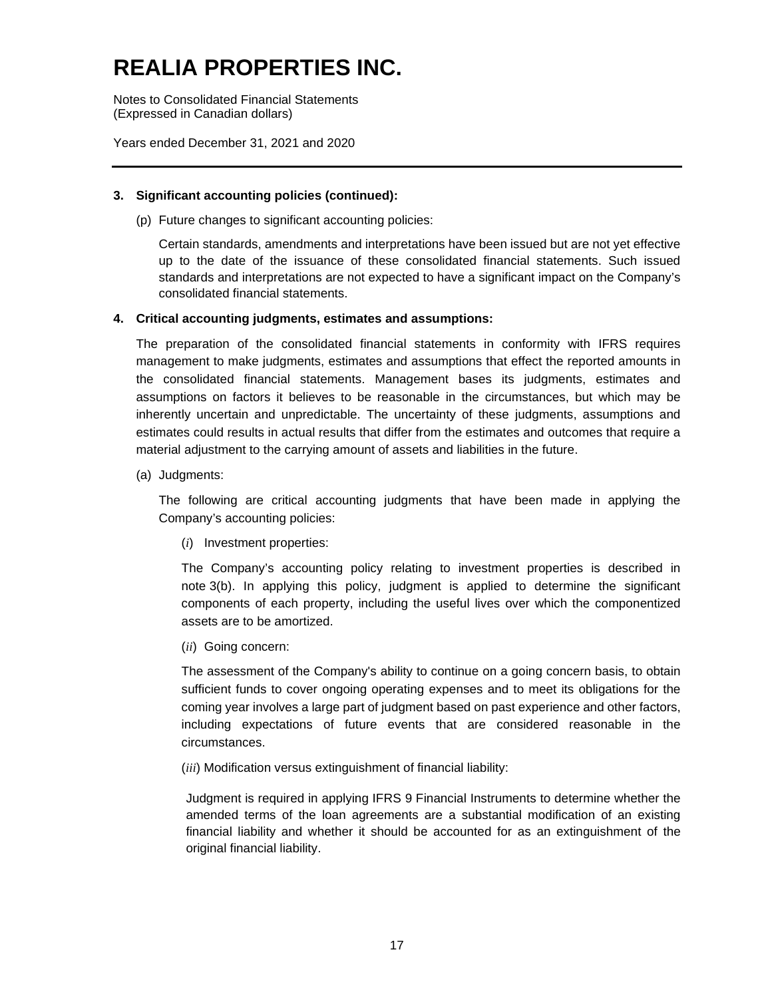Notes to Consolidated Financial Statements (Expressed in Canadian dollars)

Years ended December 31, 2021 and 2020

#### **3. Significant accounting policies (continued):**

(p) Future changes to significant accounting policies:

Certain standards, amendments and interpretations have been issued but are not yet effective up to the date of the issuance of these consolidated financial statements. Such issued standards and interpretations are not expected to have a significant impact on the Company's consolidated financial statements.

#### **4. Critical accounting judgments, estimates and assumptions:**

The preparation of the consolidated financial statements in conformity with IFRS requires management to make judgments, estimates and assumptions that effect the reported amounts in the consolidated financial statements. Management bases its judgments, estimates and assumptions on factors it believes to be reasonable in the circumstances, but which may be inherently uncertain and unpredictable. The uncertainty of these judgments, assumptions and estimates could results in actual results that differ from the estimates and outcomes that require a material adjustment to the carrying amount of assets and liabilities in the future.

(a) Judgments:

The following are critical accounting judgments that have been made in applying the Company's accounting policies:

(*i*) Investment properties:

The Company's accounting policy relating to investment properties is described in note 3(b). In applying this policy, judgment is applied to determine the significant components of each property, including the useful lives over which the componentized assets are to be amortized.

(*ii*) Going concern:

The assessment of the Company's ability to continue on a going concern basis, to obtain sufficient funds to cover ongoing operating expenses and to meet its obligations for the coming year involves a large part of judgment based on past experience and other factors, including expectations of future events that are considered reasonable in the circumstances.

(*iii*) Modification versus extinguishment of financial liability:

Judgment is required in applying IFRS 9 Financial Instruments to determine whether the amended terms of the loan agreements are a substantial modification of an existing financial liability and whether it should be accounted for as an extinguishment of the original financial liability.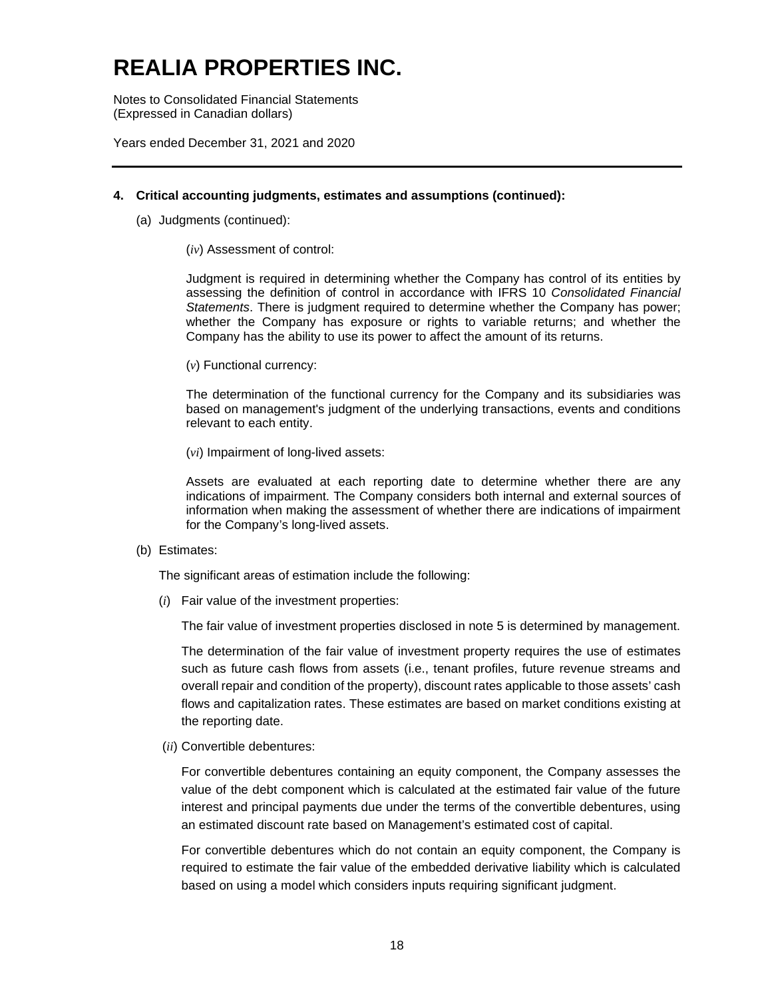Notes to Consolidated Financial Statements (Expressed in Canadian dollars)

Years ended December 31, 2021 and 2020

#### **4. Critical accounting judgments, estimates and assumptions (continued):**

- (a) Judgments (continued):
	- (*iv*) Assessment of control:

Judgment is required in determining whether the Company has control of its entities by assessing the definition of control in accordance with IFRS 10 *Consolidated Financial Statements*. There is judgment required to determine whether the Company has power; whether the Company has exposure or rights to variable returns; and whether the Company has the ability to use its power to affect the amount of its returns.

(*v*) Functional currency:

The determination of the functional currency for the Company and its subsidiaries was based on management's judgment of the underlying transactions, events and conditions relevant to each entity.

(*vi*) Impairment of long-lived assets:

Assets are evaluated at each reporting date to determine whether there are any indications of impairment. The Company considers both internal and external sources of information when making the assessment of whether there are indications of impairment for the Company's long-lived assets.

(b) Estimates:

The significant areas of estimation include the following:

(*i*) Fair value of the investment properties:

The fair value of investment properties disclosed in note 5 is determined by management.

The determination of the fair value of investment property requires the use of estimates such as future cash flows from assets (i.e., tenant profiles, future revenue streams and overall repair and condition of the property), discount rates applicable to those assets' cash flows and capitalization rates. These estimates are based on market conditions existing at the reporting date.

(*ii*) Convertible debentures:

For convertible debentures containing an equity component, the Company assesses the value of the debt component which is calculated at the estimated fair value of the future interest and principal payments due under the terms of the convertible debentures, using an estimated discount rate based on Management's estimated cost of capital.

For convertible debentures which do not contain an equity component, the Company is required to estimate the fair value of the embedded derivative liability which is calculated based on using a model which considers inputs requiring significant judgment.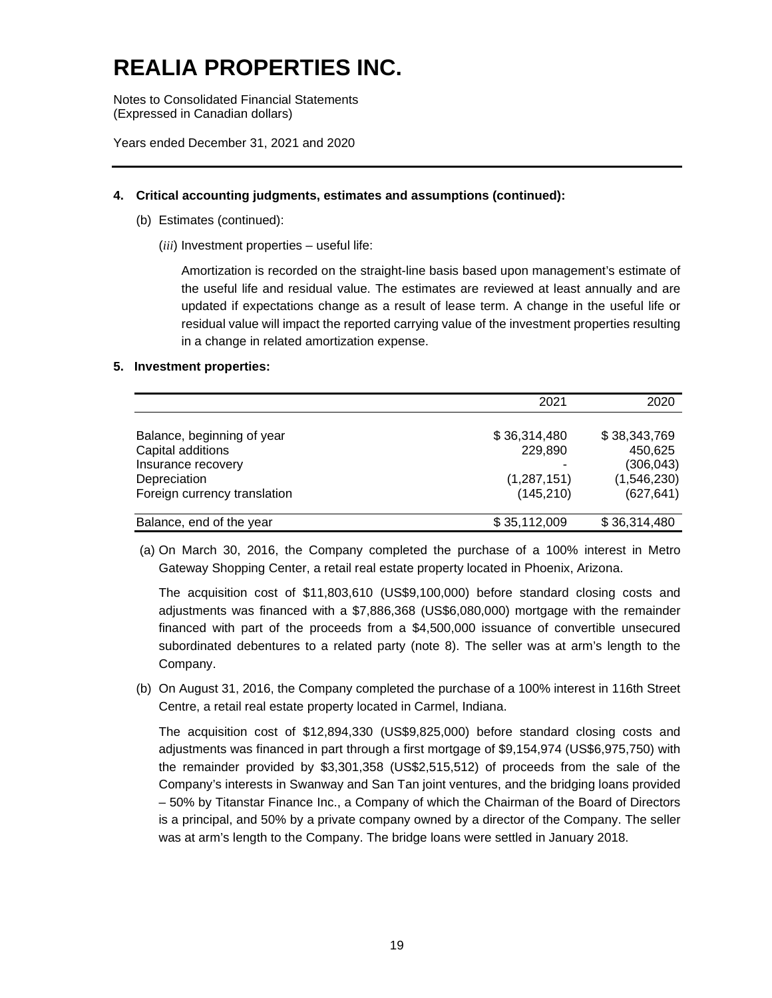Notes to Consolidated Financial Statements (Expressed in Canadian dollars)

Years ended December 31, 2021 and 2020

#### **4. Critical accounting judgments, estimates and assumptions (continued):**

- (b) Estimates (continued):
	- (*iii*) Investment properties useful life:

Amortization is recorded on the straight-line basis based upon management's estimate of the useful life and residual value. The estimates are reviewed at least annually and are updated if expectations change as a result of lease term. A change in the useful life or residual value will impact the reported carrying value of the investment properties resulting in a change in related amortization expense.

#### **5. Investment properties:**

|                              | 2021          | 2020         |
|------------------------------|---------------|--------------|
|                              |               |              |
| Balance, beginning of year   | \$36,314,480  | \$38,343,769 |
| Capital additions            | 229,890       | 450.625      |
| Insurance recovery           |               | (306, 043)   |
| Depreciation                 | (1, 287, 151) | (1,546,230)  |
| Foreign currency translation | (145, 210)    | (627, 641)   |
| Balance, end of the year     | \$35,112,009  | \$36,314,480 |

 (a) On March 30, 2016, the Company completed the purchase of a 100% interest in Metro Gateway Shopping Center, a retail real estate property located in Phoenix, Arizona.

The acquisition cost of \$11,803,610 (US\$9,100,000) before standard closing costs and adjustments was financed with a \$7,886,368 (US\$6,080,000) mortgage with the remainder financed with part of the proceeds from a \$4,500,000 issuance of convertible unsecured subordinated debentures to a related party (note 8). The seller was at arm's length to the Company.

(b) On August 31, 2016, the Company completed the purchase of a 100% interest in 116th Street Centre, a retail real estate property located in Carmel, Indiana.

The acquisition cost of \$12,894,330 (US\$9,825,000) before standard closing costs and adjustments was financed in part through a first mortgage of \$9,154,974 (US\$6,975,750) with the remainder provided by \$3,301,358 (US\$2,515,512) of proceeds from the sale of the Company's interests in Swanway and San Tan joint ventures, and the bridging loans provided – 50% by Titanstar Finance Inc., a Company of which the Chairman of the Board of Directors is a principal, and 50% by a private company owned by a director of the Company. The seller was at arm's length to the Company. The bridge loans were settled in January 2018.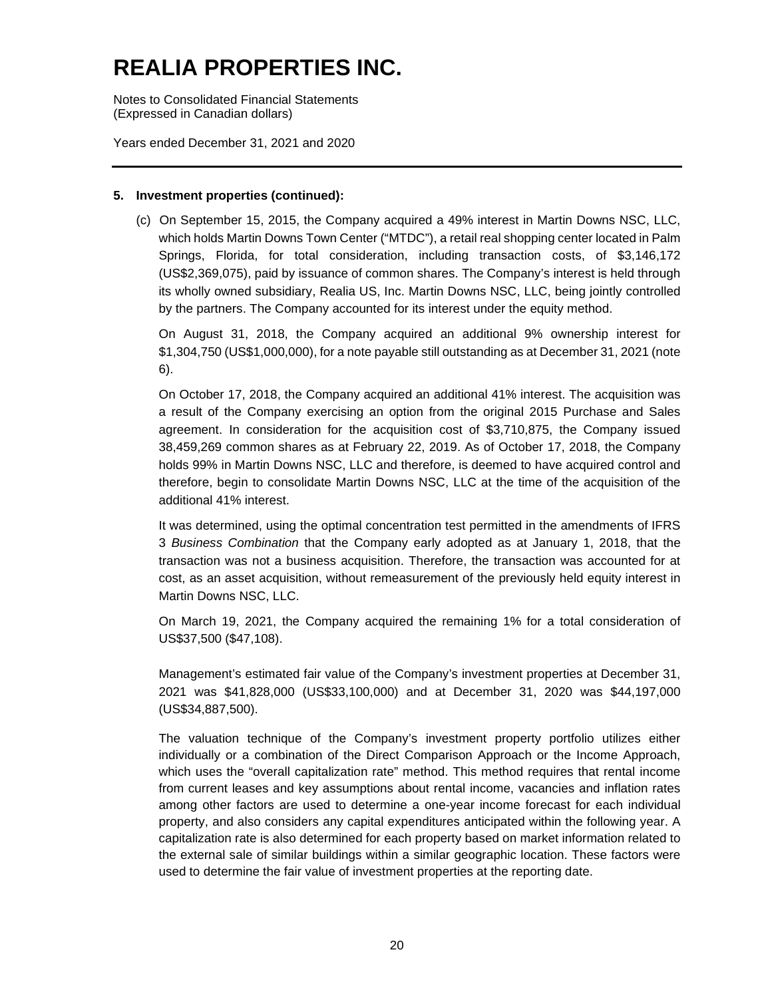Notes to Consolidated Financial Statements (Expressed in Canadian dollars)

Years ended December 31, 2021 and 2020

#### **5. Investment properties (continued):**

(c) On September 15, 2015, the Company acquired a 49% interest in Martin Downs NSC, LLC, which holds Martin Downs Town Center ("MTDC"), a retail real shopping center located in Palm Springs, Florida, for total consideration, including transaction costs, of \$3,146,172 (US\$2,369,075), paid by issuance of common shares. The Company's interest is held through its wholly owned subsidiary, Realia US, Inc. Martin Downs NSC, LLC, being jointly controlled by the partners. The Company accounted for its interest under the equity method.

On August 31, 2018, the Company acquired an additional 9% ownership interest for \$1,304,750 (US\$1,000,000), for a note payable still outstanding as at December 31, 2021 (note 6).

On October 17, 2018, the Company acquired an additional 41% interest. The acquisition was a result of the Company exercising an option from the original 2015 Purchase and Sales agreement. In consideration for the acquisition cost of \$3,710,875, the Company issued 38,459,269 common shares as at February 22, 2019. As of October 17, 2018, the Company holds 99% in Martin Downs NSC, LLC and therefore, is deemed to have acquired control and therefore, begin to consolidate Martin Downs NSC, LLC at the time of the acquisition of the additional 41% interest.

It was determined, using the optimal concentration test permitted in the amendments of IFRS 3 *Business Combination* that the Company early adopted as at January 1, 2018, that the transaction was not a business acquisition. Therefore, the transaction was accounted for at cost, as an asset acquisition, without remeasurement of the previously held equity interest in Martin Downs NSC, LLC.

On March 19, 2021, the Company acquired the remaining 1% for a total consideration of US\$37,500 (\$47,108).

Management's estimated fair value of the Company's investment properties at December 31, 2021 was \$41,828,000 (US\$33,100,000) and at December 31, 2020 was \$44,197,000 (US\$34,887,500).

The valuation technique of the Company's investment property portfolio utilizes either individually or a combination of the Direct Comparison Approach or the Income Approach, which uses the "overall capitalization rate" method. This method requires that rental income from current leases and key assumptions about rental income, vacancies and inflation rates among other factors are used to determine a one-year income forecast for each individual property, and also considers any capital expenditures anticipated within the following year. A capitalization rate is also determined for each property based on market information related to the external sale of similar buildings within a similar geographic location. These factors were used to determine the fair value of investment properties at the reporting date.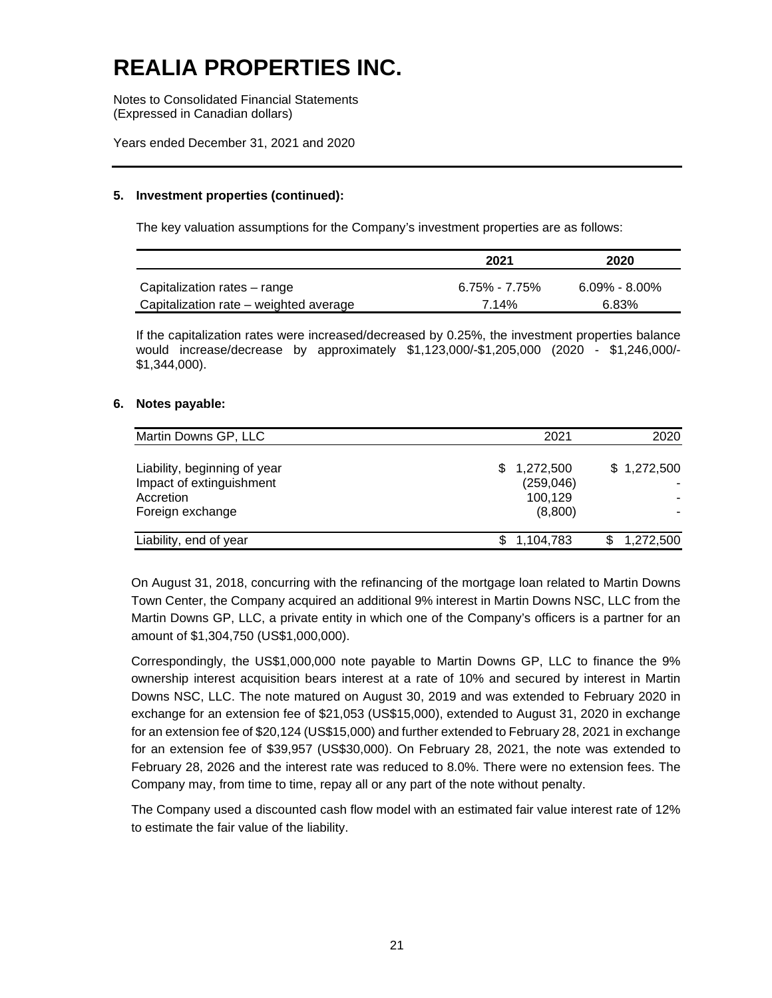Notes to Consolidated Financial Statements (Expressed in Canadian dollars)

Years ended December 31, 2021 and 2020

#### **5. Investment properties (continued):**

The key valuation assumptions for the Company's investment properties are as follows:

|                                        | 2021          | 2020                |
|----------------------------------------|---------------|---------------------|
| Capitalization rates – range           | 6.75% - 7.75% | $6.09\%$ - $8.00\%$ |
| Capitalization rate – weighted average | 7.14%         | 6.83%               |

If the capitalization rates were increased/decreased by 0.25%, the investment properties balance would increase/decrease by approximately \$1,123,000/-\$1,205,000 (2020 - \$1,246,000/- \$1,344,000).

#### **6. Notes payable:**

| Martin Downs GP, LLC                                                                      | 2021                                          | 2020        |
|-------------------------------------------------------------------------------------------|-----------------------------------------------|-------------|
| Liability, beginning of year<br>Impact of extinguishment<br>Accretion<br>Foreign exchange | 1,272,500<br>(259, 046)<br>100,129<br>(8,800) | \$1,272,500 |
| Liability, end of year                                                                    | 1,104,783                                     | 1,272,500   |

On August 31, 2018, concurring with the refinancing of the mortgage loan related to Martin Downs Town Center, the Company acquired an additional 9% interest in Martin Downs NSC, LLC from the Martin Downs GP, LLC, a private entity in which one of the Company's officers is a partner for an amount of \$1,304,750 (US\$1,000,000).

Correspondingly, the US\$1,000,000 note payable to Martin Downs GP, LLC to finance the 9% ownership interest acquisition bears interest at a rate of 10% and secured by interest in Martin Downs NSC, LLC. The note matured on August 30, 2019 and was extended to February 2020 in exchange for an extension fee of \$21,053 (US\$15,000), extended to August 31, 2020 in exchange for an extension fee of \$20,124 (US\$15,000) and further extended to February 28, 2021 in exchange for an extension fee of \$39,957 (US\$30,000). On February 28, 2021, the note was extended to February 28, 2026 and the interest rate was reduced to 8.0%. There were no extension fees. The Company may, from time to time, repay all or any part of the note without penalty.

The Company used a discounted cash flow model with an estimated fair value interest rate of 12% to estimate the fair value of the liability.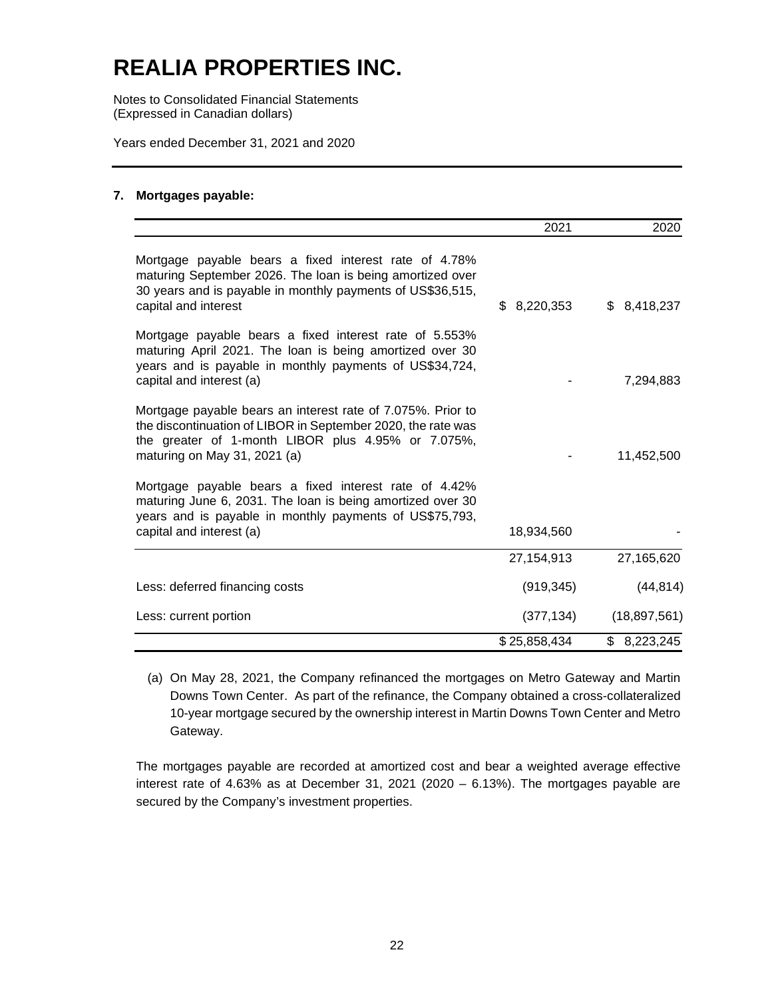Notes to Consolidated Financial Statements (Expressed in Canadian dollars)

Years ended December 31, 2021 and 2020

#### **7. Mortgages payable:**

|                                                                                                                                                                                                                   | 2021         | 2020           |
|-------------------------------------------------------------------------------------------------------------------------------------------------------------------------------------------------------------------|--------------|----------------|
| Mortgage payable bears a fixed interest rate of 4.78%<br>maturing September 2026. The loan is being amortized over<br>30 years and is payable in monthly payments of US\$36,515,<br>capital and interest          | \$8,220,353  | \$8,418,237    |
| Mortgage payable bears a fixed interest rate of 5.553%<br>maturing April 2021. The loan is being amortized over 30<br>years and is payable in monthly payments of US\$34,724,<br>capital and interest (a)         |              | 7,294,883      |
| Mortgage payable bears an interest rate of 7.075%. Prior to<br>the discontinuation of LIBOR in September 2020, the rate was<br>the greater of 1-month LIBOR plus 4.95% or 7.075%,<br>maturing on May 31, 2021 (a) |              | 11,452,500     |
| Mortgage payable bears a fixed interest rate of 4.42%<br>maturing June 6, 2031. The loan is being amortized over 30<br>years and is payable in monthly payments of US\$75,793,<br>capital and interest (a)        | 18,934,560   |                |
|                                                                                                                                                                                                                   | 27,154,913   | 27,165,620     |
| Less: deferred financing costs                                                                                                                                                                                    | (919, 345)   | (44, 814)      |
| Less: current portion                                                                                                                                                                                             | (377, 134)   | (18, 897, 561) |
|                                                                                                                                                                                                                   | \$25,858,434 | \$8,223,245    |

(a) On May 28, 2021, the Company refinanced the mortgages on Metro Gateway and Martin Downs Town Center. As part of the refinance, the Company obtained a cross-collateralized 10-year mortgage secured by the ownership interest in Martin Downs Town Center and Metro Gateway.

The mortgages payable are recorded at amortized cost and bear a weighted average effective interest rate of 4.63% as at December 31, 2021 (2020 – 6.13%). The mortgages payable are secured by the Company's investment properties.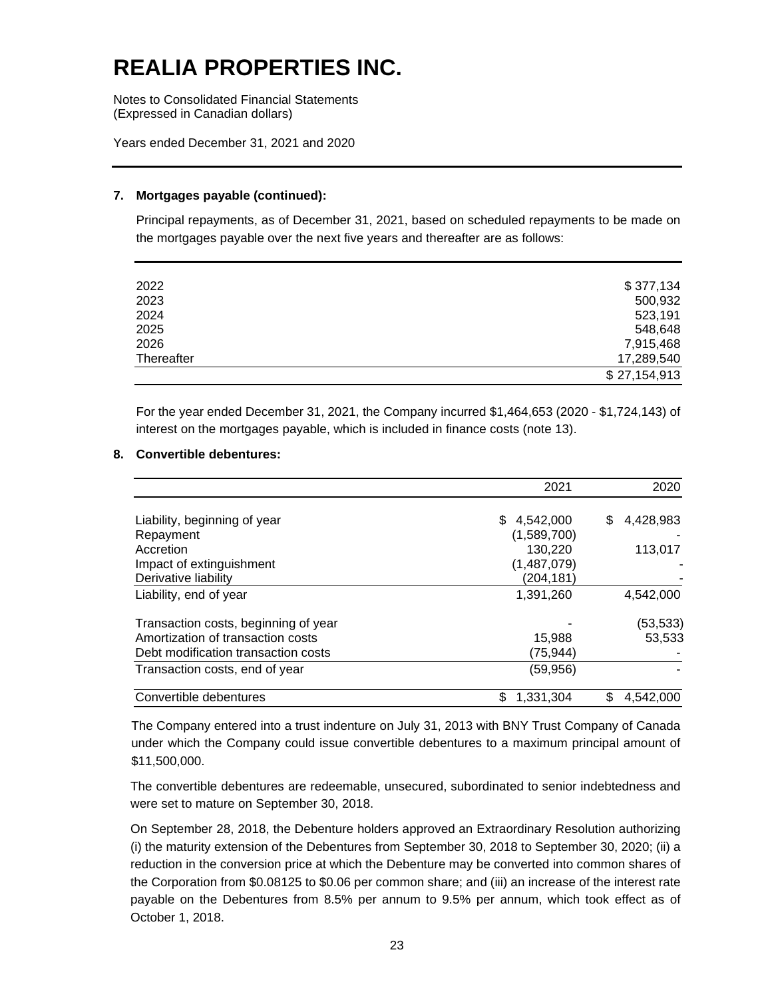Notes to Consolidated Financial Statements (Expressed in Canadian dollars)

#### **7. Mortgages payable (continued):**

Principal repayments, as of December 31, 2021, based on scheduled repayments to be made on the mortgages payable over the next five years and thereafter are as follows:

| 2022       | \$377,134    |
|------------|--------------|
| 2023       | 500,932      |
| 2024       | 523,191      |
| 2025       | 548,648      |
| 2026       | 7,915,468    |
| Thereafter | 17,289,540   |
|            | \$27,154,913 |
|            |              |

For the year ended December 31, 2021, the Company incurred \$1,464,653 (2020 - \$1,724,143) of interest on the mortgages payable, which is included in finance costs (note 13).

#### **8. Convertible debentures:**

|                                                                           | 2021                    | 2020                |
|---------------------------------------------------------------------------|-------------------------|---------------------|
| Liability, beginning of year                                              | 4,542,000<br>\$.        | 4,428,983<br>\$     |
| Repayment<br>Accretion                                                    | (1,589,700)<br>130,220  | 113,017             |
| Impact of extinguishment                                                  | (1,487,079)             |                     |
| Derivative liability<br>Liability, end of year                            | (204, 181)<br>1,391,260 | 4,542,000           |
|                                                                           |                         |                     |
| Transaction costs, beginning of year<br>Amortization of transaction costs | 15,988                  | (53, 533)<br>53,533 |
| Debt modification transaction costs                                       | (75,944)                |                     |
| Transaction costs, end of year                                            | (59,956)                |                     |
| Convertible debentures                                                    | S<br>1.331.304          | S<br>4.542.000      |

The Company entered into a trust indenture on July 31, 2013 with BNY Trust Company of Canada under which the Company could issue convertible debentures to a maximum principal amount of \$11,500,000.

The convertible debentures are redeemable, unsecured, subordinated to senior indebtedness and were set to mature on September 30, 2018.

On September 28, 2018, the Debenture holders approved an Extraordinary Resolution authorizing (i) the maturity extension of the Debentures from September 30, 2018 to September 30, 2020; (ii) a reduction in the conversion price at which the Debenture may be converted into common shares of the Corporation from \$0.08125 to \$0.06 per common share; and (iii) an increase of the interest rate payable on the Debentures from 8.5% per annum to 9.5% per annum, which took effect as of October 1, 2018.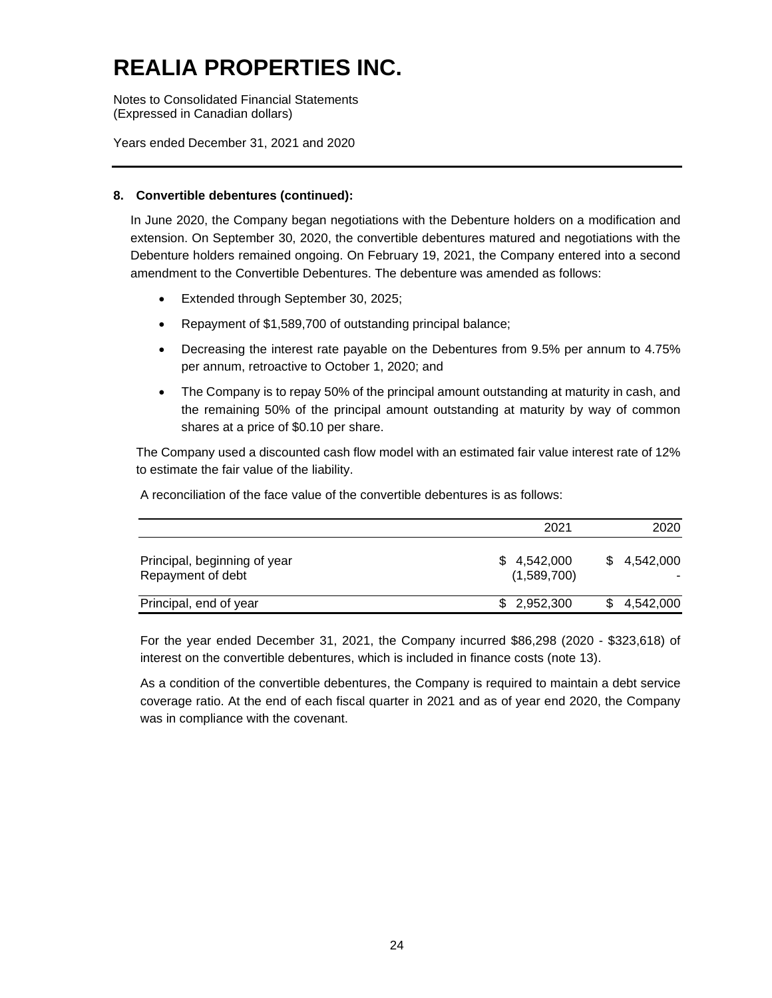Notes to Consolidated Financial Statements (Expressed in Canadian dollars)

Years ended December 31, 2021 and 2020

#### **8. Convertible debentures (continued):**

In June 2020, the Company began negotiations with the Debenture holders on a modification and extension. On September 30, 2020, the convertible debentures matured and negotiations with the Debenture holders remained ongoing. On February 19, 2021, the Company entered into a second amendment to the Convertible Debentures. The debenture was amended as follows:

- **Extended through September 30, 2025;**
- Repayment of \$1,589,700 of outstanding principal balance;
- Decreasing the interest rate payable on the Debentures from 9.5% per annum to 4.75% per annum, retroactive to October 1, 2020; and
- The Company is to repay 50% of the principal amount outstanding at maturity in cash, and the remaining 50% of the principal amount outstanding at maturity by way of common shares at a price of \$0.10 per share.

The Company used a discounted cash flow model with an estimated fair value interest rate of 12% to estimate the fair value of the liability.

|                                                   | 2021                       | 2020        |
|---------------------------------------------------|----------------------------|-------------|
| Principal, beginning of year<br>Repayment of debt | \$4,542,000<br>(1,589,700) | \$4,542,000 |
| Principal, end of year                            | \$2,952,300                | 4,542,000   |

A reconciliation of the face value of the convertible debentures is as follows:

For the year ended December 31, 2021, the Company incurred \$86,298 (2020 - \$323,618) of interest on the convertible debentures, which is included in finance costs (note 13).

As a condition of the convertible debentures, the Company is required to maintain a debt service coverage ratio. At the end of each fiscal quarter in 2021 and as of year end 2020, the Company was in compliance with the covenant.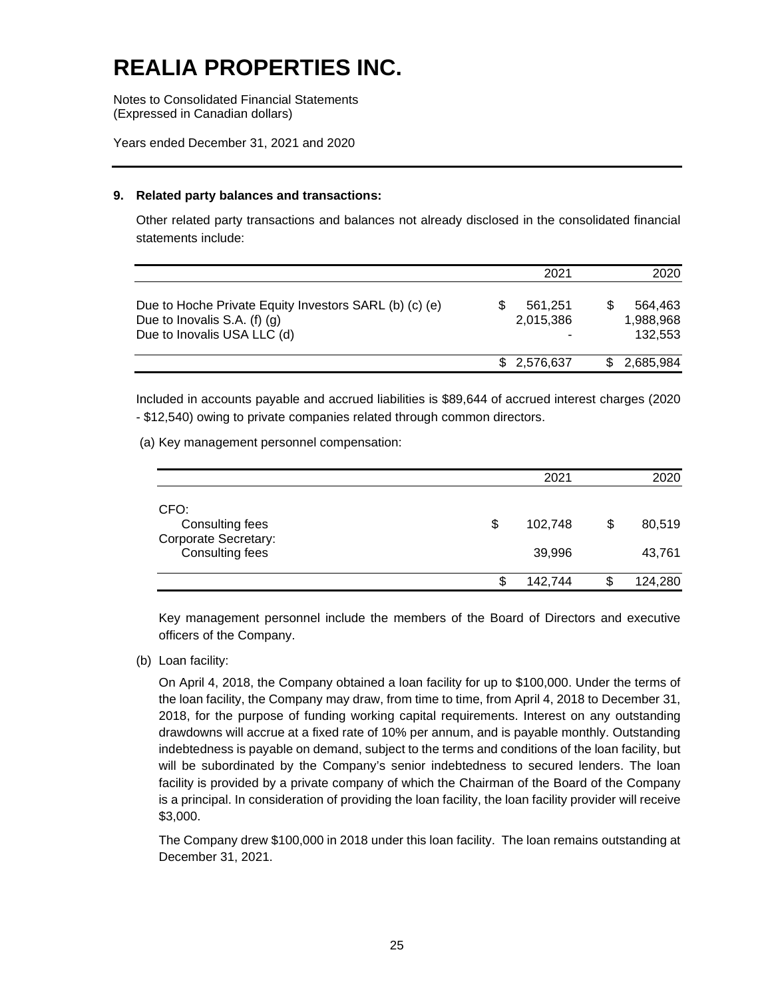Notes to Consolidated Financial Statements (Expressed in Canadian dollars)

Years ended December 31, 2021 and 2020

#### **9. Related party balances and transactions:**

Other related party transactions and balances not already disclosed in the consolidated financial statements include:

|                                                                                                                        | 2021                 | 2020                            |
|------------------------------------------------------------------------------------------------------------------------|----------------------|---------------------------------|
| Due to Hoche Private Equity Investors SARL (b) (c) (e)<br>Due to Inovalis S.A. $(f)(g)$<br>Due to Inovalis USA LLC (d) | 561,251<br>2,015,386 | 564.463<br>1,988,968<br>132.553 |
|                                                                                                                        | \$ 2,576,637         | \$2,685,984                     |

Included in accounts payable and accrued liabilities is \$89,644 of accrued interest charges (2020 - \$12,540) owing to private companies related through common directors.

(a) Key management personnel compensation:

|                                                                           | 2021                    |    | 2020             |
|---------------------------------------------------------------------------|-------------------------|----|------------------|
| CFO:<br>Consulting fees<br><b>Corporate Secretary:</b><br>Consulting fees | \$<br>102,748<br>39,996 | S  | 80,519<br>43,761 |
|                                                                           | 142,744                 | S. | 124,280          |

Key management personnel include the members of the Board of Directors and executive officers of the Company.

(b) Loan facility:

On April 4, 2018, the Company obtained a loan facility for up to \$100,000. Under the terms of the loan facility, the Company may draw, from time to time, from April 4, 2018 to December 31, 2018, for the purpose of funding working capital requirements. Interest on any outstanding drawdowns will accrue at a fixed rate of 10% per annum, and is payable monthly. Outstanding indebtedness is payable on demand, subject to the terms and conditions of the loan facility, but will be subordinated by the Company's senior indebtedness to secured lenders. The loan facility is provided by a private company of which the Chairman of the Board of the Company is a principal. In consideration of providing the loan facility, the loan facility provider will receive \$3,000.

The Company drew \$100,000 in 2018 under this loan facility. The loan remains outstanding at December 31, 2021.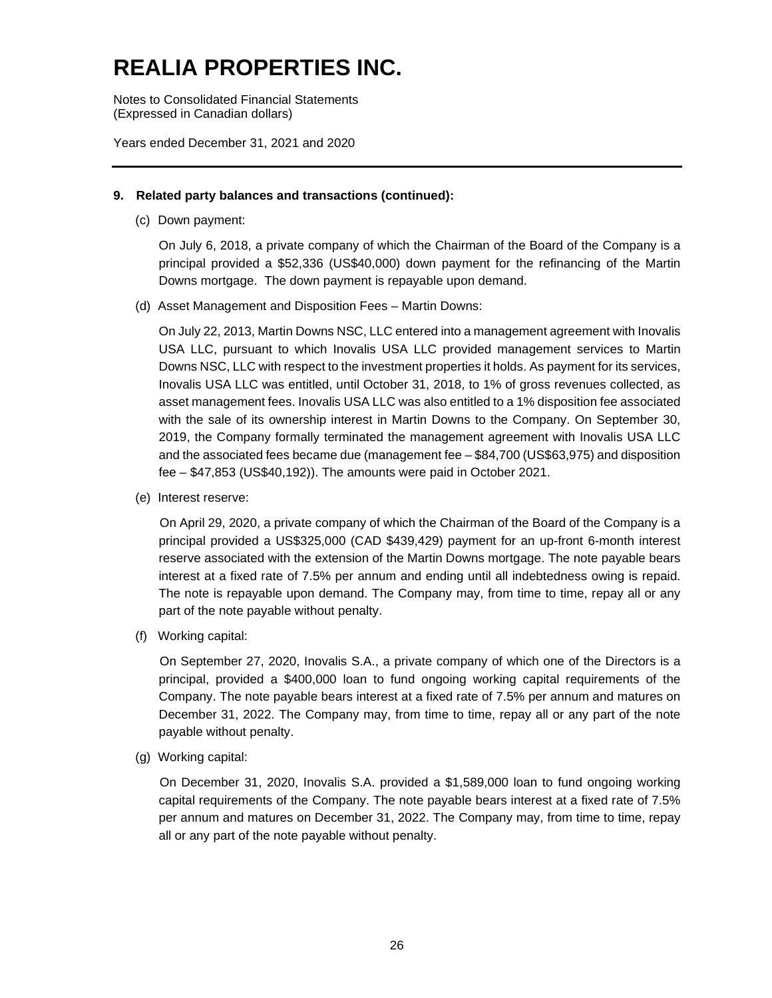Notes to Consolidated Financial Statements (Expressed in Canadian dollars)

Years ended December 31, 2021 and 2020

#### **9. Related party balances and transactions (continued):**

(c) Down payment:

On July 6, 2018, a private company of which the Chairman of the Board of the Company is a principal provided a \$52,336 (US\$40,000) down payment for the refinancing of the Martin Downs mortgage. The down payment is repayable upon demand.

(d) Asset Management and Disposition Fees – Martin Downs:

On July 22, 2013, Martin Downs NSC, LLC entered into a management agreement with Inovalis USA LLC, pursuant to which Inovalis USA LLC provided management services to Martin Downs NSC, LLC with respect to the investment properties it holds. As payment for its services, Inovalis USA LLC was entitled, until October 31, 2018, to 1% of gross revenues collected, as asset management fees. Inovalis USA LLC was also entitled to a 1% disposition fee associated with the sale of its ownership interest in Martin Downs to the Company. On September 30, 2019, the Company formally terminated the management agreement with Inovalis USA LLC and the associated fees became due (management fee – \$84,700 (US\$63,975) and disposition fee – \$47,853 (US\$40,192)). The amounts were paid in October 2021.

(e) Interest reserve:

On April 29, 2020, a private company of which the Chairman of the Board of the Company is a principal provided a US\$325,000 (CAD \$439,429) payment for an up-front 6-month interest reserve associated with the extension of the Martin Downs mortgage. The note payable bears interest at a fixed rate of 7.5% per annum and ending until all indebtedness owing is repaid. The note is repayable upon demand. The Company may, from time to time, repay all or any part of the note payable without penalty.

(f) Working capital:

On September 27, 2020, Inovalis S.A., a private company of which one of the Directors is a principal, provided a \$400,000 loan to fund ongoing working capital requirements of the Company. The note payable bears interest at a fixed rate of 7.5% per annum and matures on December 31, 2022. The Company may, from time to time, repay all or any part of the note payable without penalty.

(g) Working capital:

On December 31, 2020, Inovalis S.A. provided a \$1,589,000 loan to fund ongoing working capital requirements of the Company. The note payable bears interest at a fixed rate of 7.5% per annum and matures on December 31, 2022. The Company may, from time to time, repay all or any part of the note payable without penalty.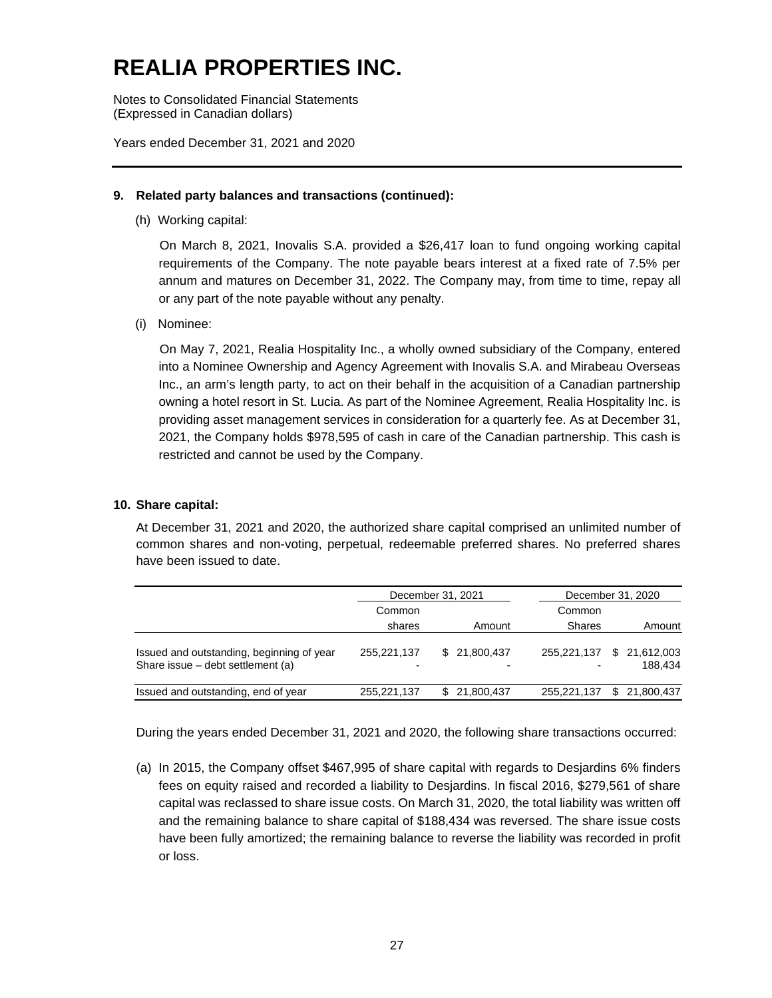Notes to Consolidated Financial Statements (Expressed in Canadian dollars)

Years ended December 31, 2021 and 2020

#### **9. Related party balances and transactions (continued):**

(h) Working capital:

On March 8, 2021, Inovalis S.A. provided a \$26,417 loan to fund ongoing working capital requirements of the Company. The note payable bears interest at a fixed rate of 7.5% per annum and matures on December 31, 2022. The Company may, from time to time, repay all or any part of the note payable without any penalty.

(i) Nominee:

On May 7, 2021, Realia Hospitality Inc., a wholly owned subsidiary of the Company, entered into a Nominee Ownership and Agency Agreement with Inovalis S.A. and Mirabeau Overseas Inc., an arm's length party, to act on their behalf in the acquisition of a Canadian partnership owning a hotel resort in St. Lucia. As part of the Nominee Agreement, Realia Hospitality Inc. is providing asset management services in consideration for a quarterly fee. As at December 31, 2021, the Company holds \$978,595 of cash in care of the Canadian partnership. This cash is restricted and cannot be used by the Company.

#### **10. Share capital:**

At December 31, 2021 and 2020, the authorized share capital comprised an unlimited number of common shares and non-voting, perpetual, redeemable preferred shares. No preferred shares have been issued to date.

|                                                                                |                                         | December 31, 2021 |             | December 31, 2020        |  |
|--------------------------------------------------------------------------------|-----------------------------------------|-------------------|-------------|--------------------------|--|
|                                                                                | Common                                  |                   |             |                          |  |
|                                                                                | shares                                  | Amount            | Shares      | Amount                   |  |
| Issued and outstanding, beginning of year<br>Share issue - debt settlement (a) | 255.221.137<br>$\overline{\phantom{0}}$ | 21,800,437<br>SS. | 255.221.137 | \$ 21,612,003<br>188.434 |  |
| Issued and outstanding, end of year                                            | 255.221.137                             | 21,800,437        | 255,221,137 | 21.800.437<br>\$         |  |

During the years ended December 31, 2021 and 2020, the following share transactions occurred:

(a) In 2015, the Company offset \$467,995 of share capital with regards to Desjardins 6% finders fees on equity raised and recorded a liability to Desjardins. In fiscal 2016, \$279,561 of share capital was reclassed to share issue costs. On March 31, 2020, the total liability was written off and the remaining balance to share capital of \$188,434 was reversed. The share issue costs have been fully amortized; the remaining balance to reverse the liability was recorded in profit or loss.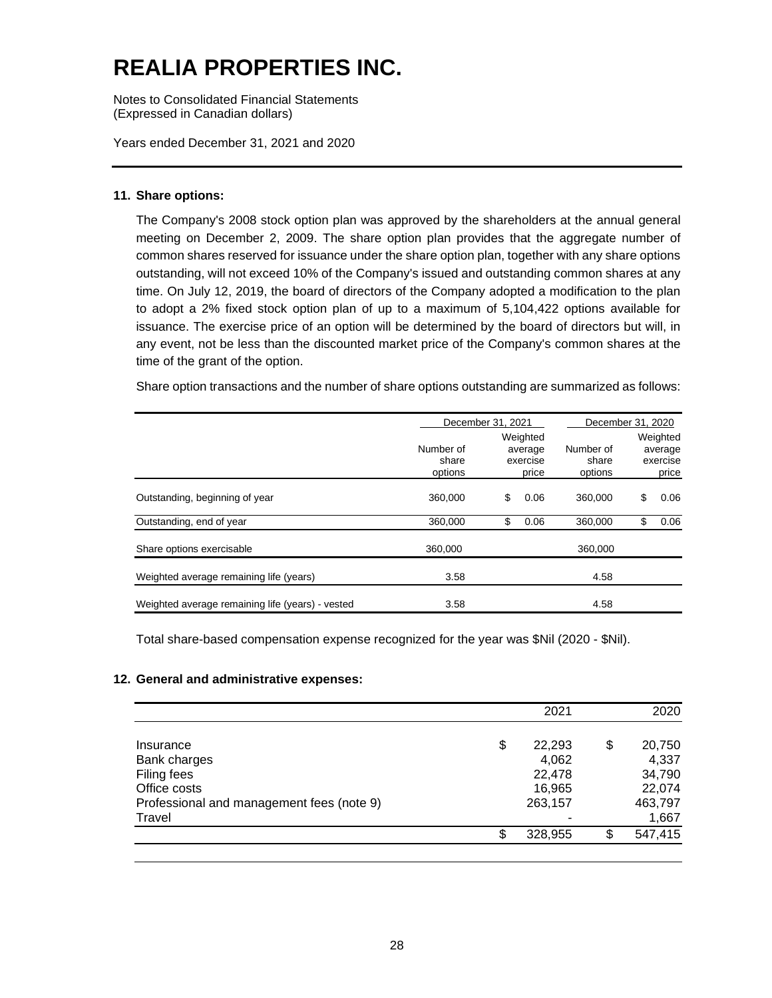Notes to Consolidated Financial Statements (Expressed in Canadian dollars)

Years ended December 31, 2021 and 2020

#### **11. Share options:**

The Company's 2008 stock option plan was approved by the shareholders at the annual general meeting on December 2, 2009. The share option plan provides that the aggregate number of common shares reserved for issuance under the share option plan, together with any share options outstanding, will not exceed 10% of the Company's issued and outstanding common shares at any time. On July 12, 2019, the board of directors of the Company adopted a modification to the plan to adopt a 2% fixed stock option plan of up to a maximum of 5,104,422 options available for issuance. The exercise price of an option will be determined by the board of directors but will, in any event, not be less than the discounted market price of the Company's common shares at the time of the grant of the option.

Share option transactions and the number of share options outstanding are summarized as follows:

|                                                  |                               | December 31, 2021                        |                               | December 31, 2020 |                                          |
|--------------------------------------------------|-------------------------------|------------------------------------------|-------------------------------|-------------------|------------------------------------------|
|                                                  | Number of<br>share<br>options | Weighted<br>average<br>exercise<br>price | Number of<br>share<br>options |                   | Weighted<br>average<br>exercise<br>price |
| Outstanding, beginning of year                   | 360,000                       | \$<br>0.06                               | 360,000                       | S                 | 0.06                                     |
| Outstanding, end of year                         | 360,000                       | \$<br>0.06                               | 360,000                       | \$                | 0.06                                     |
| Share options exercisable                        | 360.000                       |                                          | 360,000                       |                   |                                          |
| Weighted average remaining life (years)          | 3.58                          |                                          | 4.58                          |                   |                                          |
| Weighted average remaining life (years) - vested | 3.58                          |                                          | 4.58                          |                   |                                          |

Total share-based compensation expense recognized for the year was \$Nil (2020 - \$Nil).

#### **12. General and administrative expenses:**

|                                           | 2021          |   | 2020    |
|-------------------------------------------|---------------|---|---------|
| Insurance                                 | \$<br>22,293  | S | 20,750  |
| Bank charges                              | 4,062         |   | 4,337   |
| Filing fees                               | 22,478        |   | 34,790  |
| Office costs                              | 16,965        |   | 22,074  |
| Professional and management fees (note 9) | 263,157       |   | 463,797 |
| Travel                                    |               |   | 1,667   |
|                                           | \$<br>328,955 | S | 547,415 |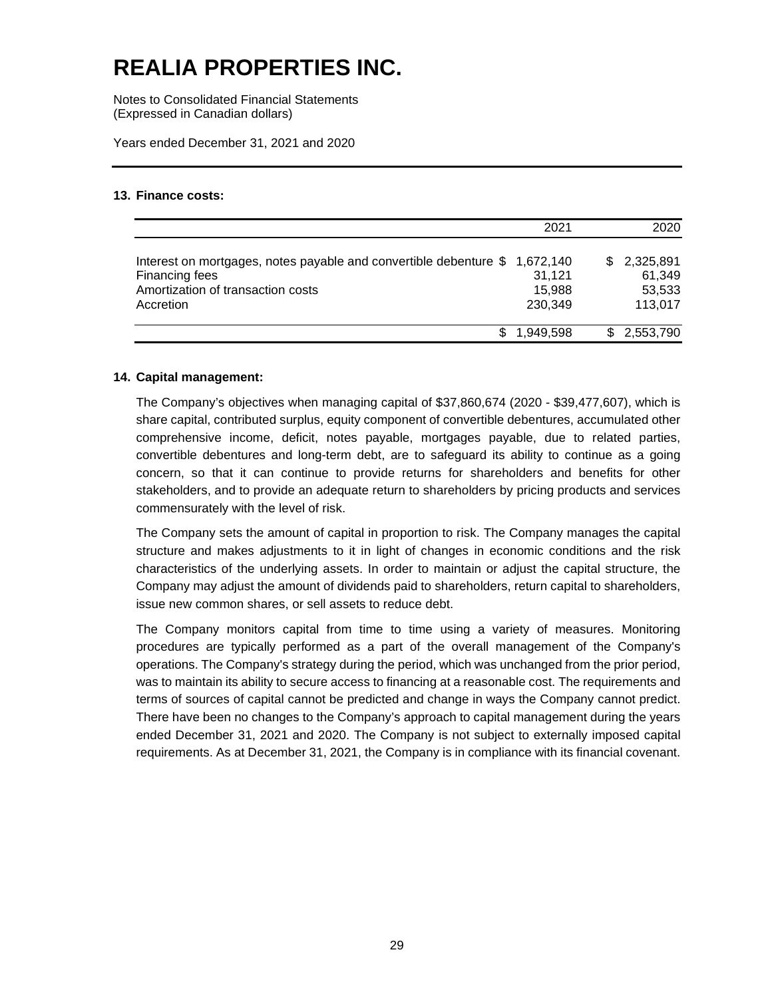Notes to Consolidated Financial Statements (Expressed in Canadian dollars)

Years ended December 31, 2021 and 2020

#### **13. Finance costs:**

|                                                                                                                                                 | 2021                        | 2020                                       |
|-------------------------------------------------------------------------------------------------------------------------------------------------|-----------------------------|--------------------------------------------|
| Interest on mortgages, notes payable and convertible debenture \$ 1,672,140<br>Financing fees<br>Amortization of transaction costs<br>Accretion | 31.121<br>15,988<br>230.349 | \$2,325,891<br>61,349<br>53,533<br>113,017 |
|                                                                                                                                                 | 1.949.598                   | \$2,553,790                                |

#### **14. Capital management:**

The Company's objectives when managing capital of \$37,860,674 (2020 - \$39,477,607), which is share capital, contributed surplus, equity component of convertible debentures, accumulated other comprehensive income, deficit, notes payable, mortgages payable, due to related parties, convertible debentures and long-term debt, are to safeguard its ability to continue as a going concern, so that it can continue to provide returns for shareholders and benefits for other stakeholders, and to provide an adequate return to shareholders by pricing products and services commensurately with the level of risk.

The Company sets the amount of capital in proportion to risk. The Company manages the capital structure and makes adjustments to it in light of changes in economic conditions and the risk characteristics of the underlying assets. In order to maintain or adjust the capital structure, the Company may adjust the amount of dividends paid to shareholders, return capital to shareholders, issue new common shares, or sell assets to reduce debt.

The Company monitors capital from time to time using a variety of measures. Monitoring procedures are typically performed as a part of the overall management of the Company's operations. The Company's strategy during the period, which was unchanged from the prior period, was to maintain its ability to secure access to financing at a reasonable cost. The requirements and terms of sources of capital cannot be predicted and change in ways the Company cannot predict. There have been no changes to the Company's approach to capital management during the years ended December 31, 2021 and 2020. The Company is not subject to externally imposed capital requirements. As at December 31, 2021, the Company is in compliance with its financial covenant.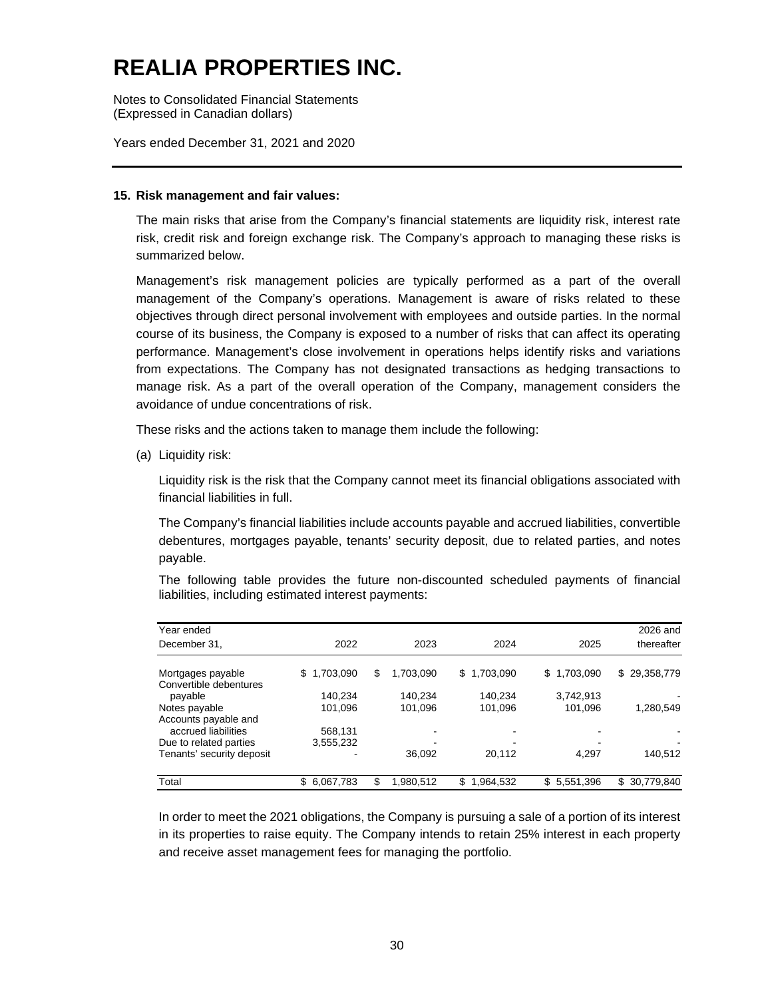Notes to Consolidated Financial Statements (Expressed in Canadian dollars)

Years ended December 31, 2021 and 2020

#### **15. Risk management and fair values:**

The main risks that arise from the Company's financial statements are liquidity risk, interest rate risk, credit risk and foreign exchange risk. The Company's approach to managing these risks is summarized below.

Management's risk management policies are typically performed as a part of the overall management of the Company's operations. Management is aware of risks related to these objectives through direct personal involvement with employees and outside parties. In the normal course of its business, the Company is exposed to a number of risks that can affect its operating performance. Management's close involvement in operations helps identify risks and variations from expectations. The Company has not designated transactions as hedging transactions to manage risk. As a part of the overall operation of the Company, management considers the avoidance of undue concentrations of risk.

These risks and the actions taken to manage them include the following:

(a) Liquidity risk:

Liquidity risk is the risk that the Company cannot meet its financial obligations associated with financial liabilities in full.

The Company's financial liabilities include accounts payable and accrued liabilities, convertible debentures, mortgages payable, tenants' security deposit, due to related parties, and notes payable.

The following table provides the future non-discounted scheduled payments of financial liabilities, including estimated interest payments:

| Year ended                                  |                 |     |           |                 |                 | 2026 and      |
|---------------------------------------------|-----------------|-----|-----------|-----------------|-----------------|---------------|
| December 31,                                | 2022            |     | 2023      | 2024            | 2025            | thereafter    |
| Mortgages payable<br>Convertible debentures | 1,703,090<br>\$ | \$  | 1,703,090 | 1,703,090<br>\$ | 1,703,090<br>\$ | \$29,358,779  |
| payable                                     | 140,234         |     | 140.234   | 140,234         | 3,742,913       |               |
| Notes payable                               | 101.096         |     | 101.096   | 101,096         | 101.096         | 1,280,549     |
| Accounts payable and                        |                 |     |           |                 |                 |               |
| accrued liabilities                         | 568.131         |     |           |                 |                 |               |
| Due to related parties                      | 3,555,232       |     |           |                 |                 |               |
| Tenants' security deposit                   |                 |     | 36.092    | 20.112          | 4.297           | 140,512       |
| Total                                       | 6,067,783       | \$. | 1,980,512 | \$<br>1,964,532 | \$5,551,396     | \$ 30,779,840 |

In order to meet the 2021 obligations, the Company is pursuing a sale of a portion of its interest in its properties to raise equity. The Company intends to retain 25% interest in each property and receive asset management fees for managing the portfolio.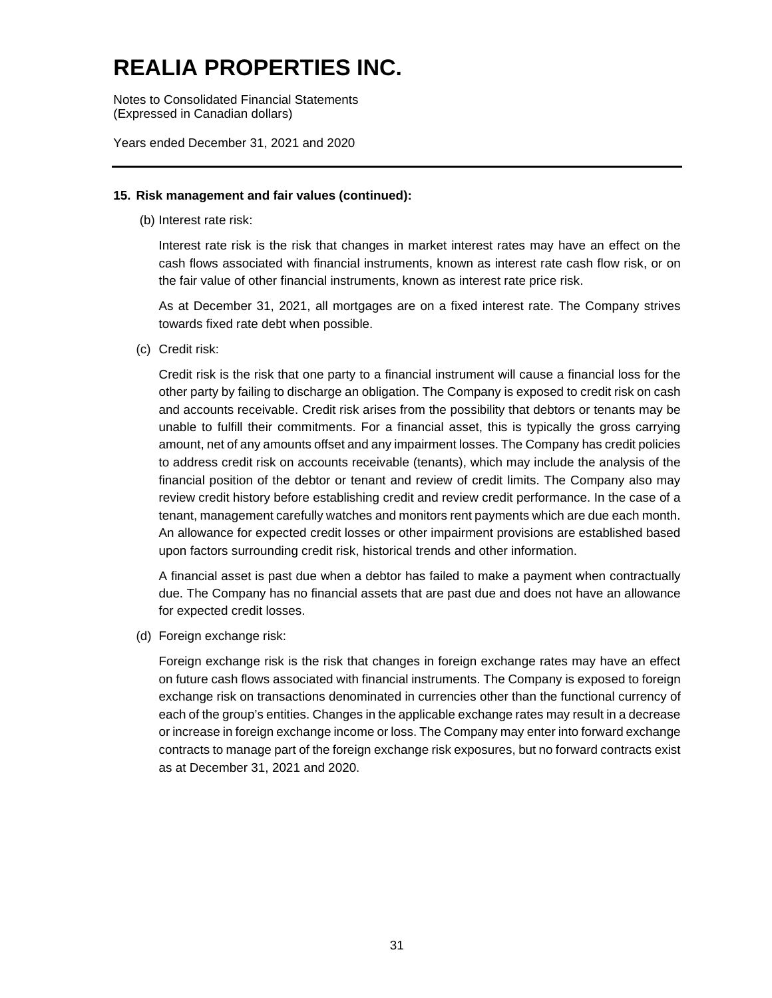Notes to Consolidated Financial Statements (Expressed in Canadian dollars)

Years ended December 31, 2021 and 2020

#### **15. Risk management and fair values (continued):**

(b) Interest rate risk:

Interest rate risk is the risk that changes in market interest rates may have an effect on the cash flows associated with financial instruments, known as interest rate cash flow risk, or on the fair value of other financial instruments, known as interest rate price risk.

As at December 31, 2021, all mortgages are on a fixed interest rate. The Company strives towards fixed rate debt when possible.

(c) Credit risk:

Credit risk is the risk that one party to a financial instrument will cause a financial loss for the other party by failing to discharge an obligation. The Company is exposed to credit risk on cash and accounts receivable. Credit risk arises from the possibility that debtors or tenants may be unable to fulfill their commitments. For a financial asset, this is typically the gross carrying amount, net of any amounts offset and any impairment losses. The Company has credit policies to address credit risk on accounts receivable (tenants), which may include the analysis of the financial position of the debtor or tenant and review of credit limits. The Company also may review credit history before establishing credit and review credit performance. In the case of a tenant, management carefully watches and monitors rent payments which are due each month. An allowance for expected credit losses or other impairment provisions are established based upon factors surrounding credit risk, historical trends and other information.

A financial asset is past due when a debtor has failed to make a payment when contractually due. The Company has no financial assets that are past due and does not have an allowance for expected credit losses.

(d) Foreign exchange risk:

Foreign exchange risk is the risk that changes in foreign exchange rates may have an effect on future cash flows associated with financial instruments. The Company is exposed to foreign exchange risk on transactions denominated in currencies other than the functional currency of each of the group's entities. Changes in the applicable exchange rates may result in a decrease or increase in foreign exchange income or loss. The Company may enter into forward exchange contracts to manage part of the foreign exchange risk exposures, but no forward contracts exist as at December 31, 2021 and 2020.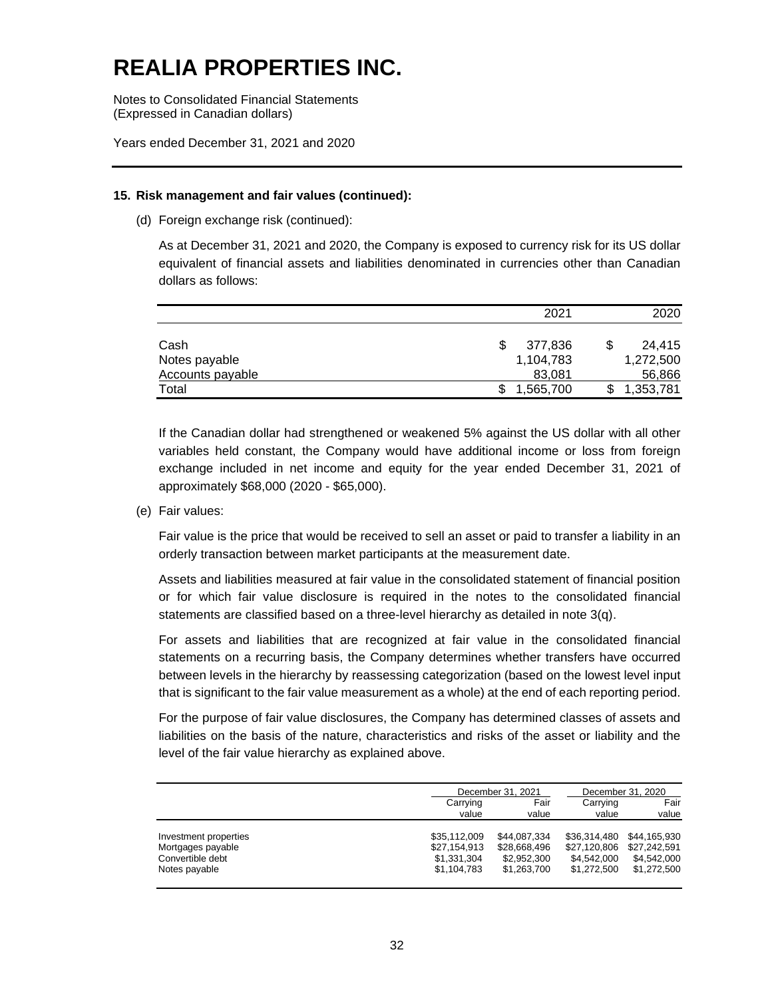Notes to Consolidated Financial Statements (Expressed in Canadian dollars)

Years ended December 31, 2021 and 2020

#### **15. Risk management and fair values (continued):**

(d) Foreign exchange risk (continued):

As at December 31, 2021 and 2020, the Company is exposed to currency risk for its US dollar equivalent of financial assets and liabilities denominated in currencies other than Canadian dollars as follows:

|                         | 2021      | 2020         |
|-------------------------|-----------|--------------|
| Cash                    | 377,836   | \$<br>24.415 |
| Notes payable           | 1,104,783 | 1,272,500    |
| <b>Accounts payable</b> | 83,081    | 56,866       |
| Total                   | 1,565,700 | 1,353,781    |

If the Canadian dollar had strengthened or weakened 5% against the US dollar with all other variables held constant, the Company would have additional income or loss from foreign exchange included in net income and equity for the year ended December 31, 2021 of approximately \$68,000 (2020 - \$65,000).

(e) Fair values:

Fair value is the price that would be received to sell an asset or paid to transfer a liability in an orderly transaction between market participants at the measurement date.

Assets and liabilities measured at fair value in the consolidated statement of financial position or for which fair value disclosure is required in the notes to the consolidated financial statements are classified based on a three-level hierarchy as detailed in note  $3(q)$ .

For assets and liabilities that are recognized at fair value in the consolidated financial statements on a recurring basis, the Company determines whether transfers have occurred between levels in the hierarchy by reassessing categorization (based on the lowest level input that is significant to the fair value measurement as a whole) at the end of each reporting period.

For the purpose of fair value disclosures, the Company has determined classes of assets and liabilities on the basis of the nature, characteristics and risks of the asset or liability and the level of the fair value hierarchy as explained above.

|                       |              | December 31, 2021 |              | December 31, 2020 |  |
|-----------------------|--------------|-------------------|--------------|-------------------|--|
|                       | Carrying     | Fair              |              | Fair              |  |
|                       | value        | value             |              | value             |  |
| Investment properties | \$35,112,009 | \$44.087.334      | \$36,314,480 | \$44.165.930      |  |
| Mortgages payable     | \$27,154,913 | \$28,668,496      | \$27,120,806 | \$27.242.591      |  |
| Convertible debt      | \$1,331,304  | \$2,952,300       | \$4.542,000  | \$4,542,000       |  |
| Notes payable         | \$1.104.783  | \$1,263,700       | \$1.272.500  | \$1,272,500       |  |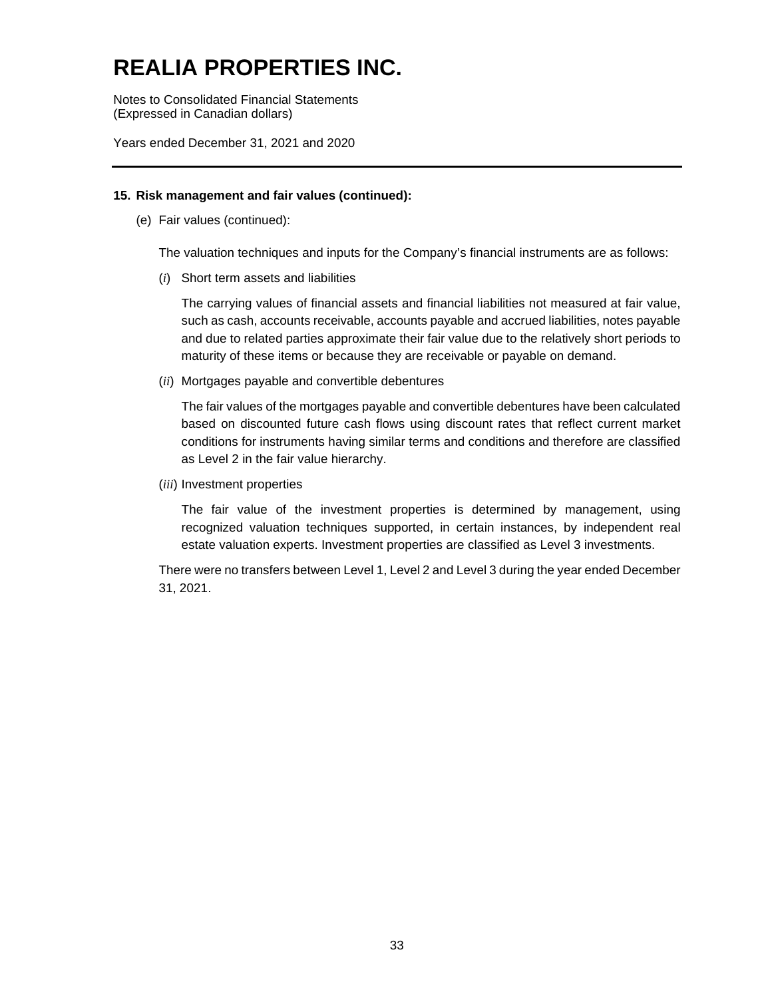Notes to Consolidated Financial Statements (Expressed in Canadian dollars)

Years ended December 31, 2021 and 2020

#### **15. Risk management and fair values (continued):**

(e) Fair values (continued):

The valuation techniques and inputs for the Company's financial instruments are as follows:

(*i*) Short term assets and liabilities

The carrying values of financial assets and financial liabilities not measured at fair value, such as cash, accounts receivable, accounts payable and accrued liabilities, notes payable and due to related parties approximate their fair value due to the relatively short periods to maturity of these items or because they are receivable or payable on demand.

(*ii*) Mortgages payable and convertible debentures

The fair values of the mortgages payable and convertible debentures have been calculated based on discounted future cash flows using discount rates that reflect current market conditions for instruments having similar terms and conditions and therefore are classified as Level 2 in the fair value hierarchy.

(*iii*) Investment properties

The fair value of the investment properties is determined by management, using recognized valuation techniques supported, in certain instances, by independent real estate valuation experts. Investment properties are classified as Level 3 investments.

There were no transfers between Level 1, Level 2 and Level 3 during the year ended December 31, 2021.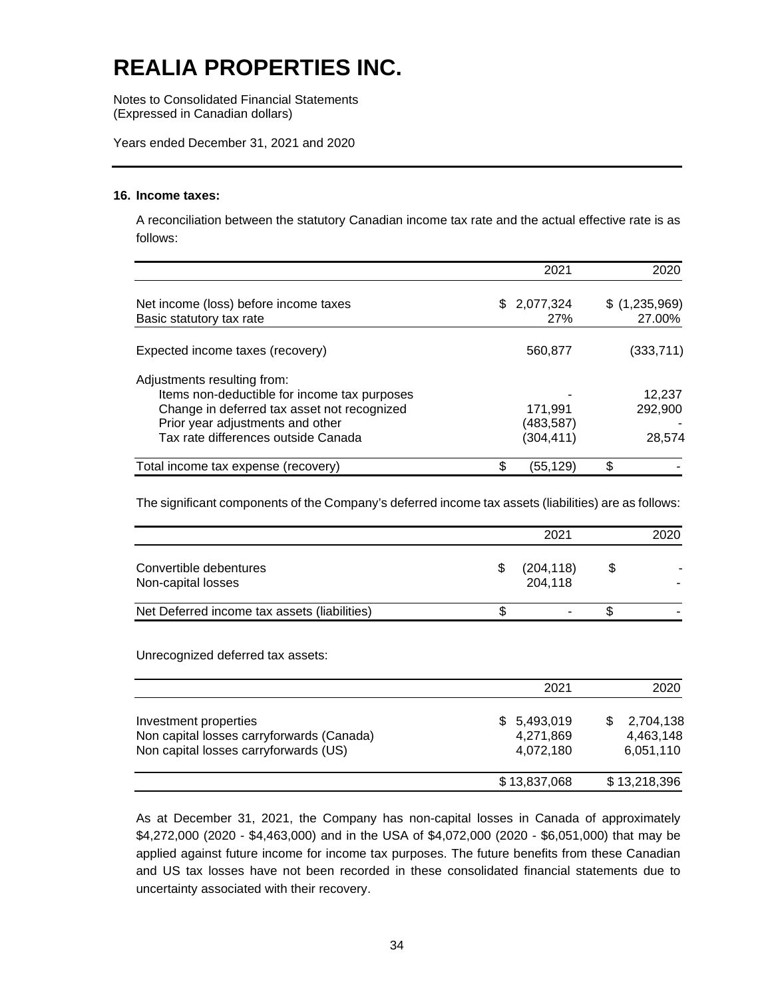Notes to Consolidated Financial Statements (Expressed in Canadian dollars)

Years ended December 31, 2021 and 2020

#### **16. Income taxes:**

A reconciliation between the statutory Canadian income tax rate and the actual effective rate is as follows:

|                                                                                                                                                                                                       |     | 2021                              | 2020                        |
|-------------------------------------------------------------------------------------------------------------------------------------------------------------------------------------------------------|-----|-----------------------------------|-----------------------------|
| Net income (loss) before income taxes<br>Basic statutory tax rate                                                                                                                                     |     | \$2,077,324<br><b>27%</b>         | \$(1,235,969)<br>27.00%     |
| Expected income taxes (recovery)                                                                                                                                                                      |     | 560,877                           | (333, 711)                  |
| Adjustments resulting from:<br>Items non-deductible for income tax purposes<br>Change in deferred tax asset not recognized<br>Prior year adjustments and other<br>Tax rate differences outside Canada |     | 171,991<br>(483,587)<br>(304,411) | 12.237<br>292,900<br>28,574 |
| Total income tax expense (recovery)                                                                                                                                                                   | \$. | (55,129)                          | \$                          |

The significant components of the Company's deferred income tax assets (liabilities) are as follows:

|                                              | 2021                  | 2020 |
|----------------------------------------------|-----------------------|------|
| Convertible debentures<br>Non-capital losses | (204, 118)<br>204.118 |      |
| Net Deferred income tax assets (liabilities) |                       |      |

Unrecognized deferred tax assets:

|                                           | 2021         | 2020         |
|-------------------------------------------|--------------|--------------|
| Investment properties                     | \$5,493,019  | 2,704,138    |
| Non capital losses carryforwards (Canada) | 4,271,869    | 4,463,148    |
| Non capital losses carryforwards (US)     | 4.072.180    | 6,051,110    |
|                                           | \$13,837,068 | \$13,218,396 |

As at December 31, 2021, the Company has non-capital losses in Canada of approximately \$4,272,000 (2020 - \$4,463,000) and in the USA of \$4,072,000 (2020 - \$6,051,000) that may be applied against future income for income tax purposes. The future benefits from these Canadian and US tax losses have not been recorded in these consolidated financial statements due to uncertainty associated with their recovery.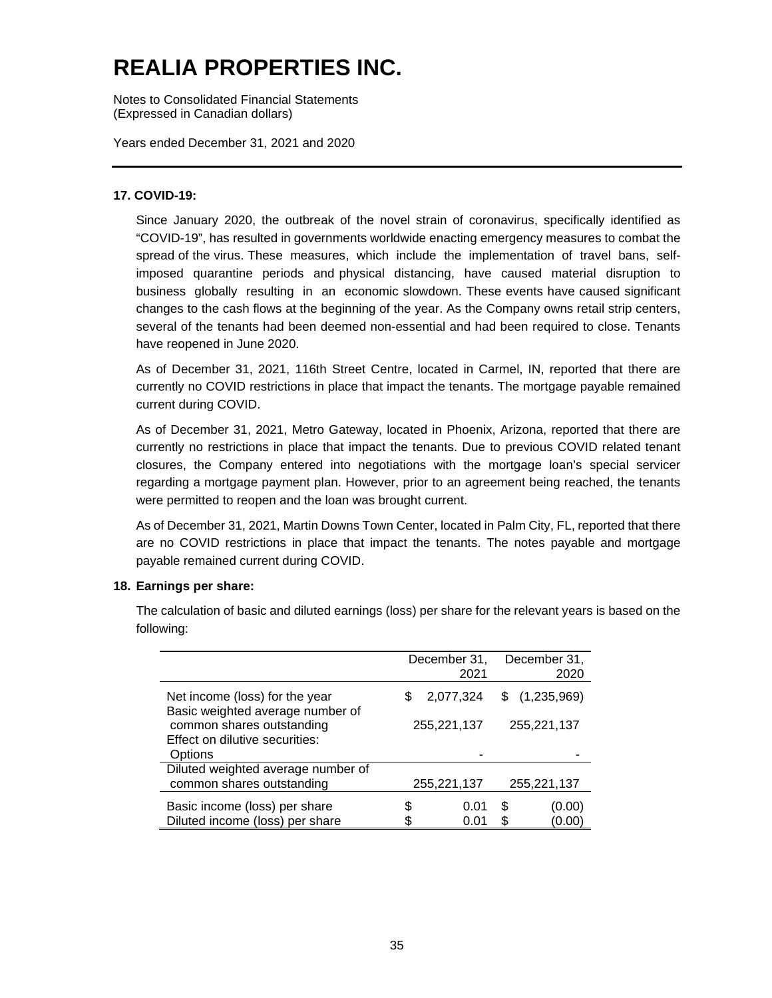Notes to Consolidated Financial Statements (Expressed in Canadian dollars)

Years ended December 31, 2021 and 2020

#### **17. COVID-19:**

Since January 2020, the outbreak of the novel strain of coronavirus, specifically identified as "COVID-19", has resulted in governments worldwide enacting emergency measures to combat the spread of the virus. These measures, which include the implementation of travel bans, selfimposed quarantine periods and physical distancing, have caused material disruption to business globally resulting in an economic slowdown. These events have caused significant changes to the cash flows at the beginning of the year. As the Company owns retail strip centers, several of the tenants had been deemed non-essential and had been required to close. Tenants have reopened in June 2020.

As of December 31, 2021, 116th Street Centre, located in Carmel, IN, reported that there are currently no COVID restrictions in place that impact the tenants. The mortgage payable remained current during COVID.

As of December 31, 2021, Metro Gateway, located in Phoenix, Arizona, reported that there are currently no restrictions in place that impact the tenants. Due to previous COVID related tenant closures, the Company entered into negotiations with the mortgage loan's special servicer regarding a mortgage payment plan. However, prior to an agreement being reached, the tenants were permitted to reopen and the loan was brought current.

As of December 31, 2021, Martin Downs Town Center, located in Palm City, FL, reported that there are no COVID restrictions in place that impact the tenants. The notes payable and mortgage payable remained current during COVID.

#### **18. Earnings per share:**

The calculation of basic and diluted earnings (loss) per share for the relevant years is based on the following:

|                                                                                                 |   | December 31,<br>2021 |    | December 31,<br>2020 |
|-------------------------------------------------------------------------------------------------|---|----------------------|----|----------------------|
| Net income (loss) for the year                                                                  |   | 2,077,324            | S. | (1,235,969)          |
| Basic weighted average number of<br>common shares outstanding<br>Effect on dilutive securities: |   | 255,221,137          |    | 255,221,137          |
| Options                                                                                         |   |                      |    |                      |
| Diluted weighted average number of                                                              |   |                      |    |                      |
| common shares outstanding                                                                       |   | 255,221,137          |    | 255,221,137          |
| Basic income (loss) per share                                                                   | S | 0.01                 | S  | (0.00)               |
| Diluted income (loss) per share                                                                 |   | 0.01                 |    | 10.00                |